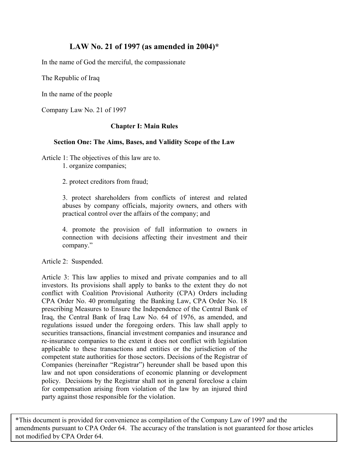# **LAW No. 21 of 1997 (as amended in 2004)\***

In the name of God the merciful, the compassionate

The Republic of Iraq

In the name of the people

Company Law No. 21 of 1997

### **Chapter I: Main Rules**

### **Section One: The Aims, Bases, and Validity Scope of the Law**

Article 1: The objectives of this law are to.

1. organize companies;

2. protect creditors from fraud;

3. protect shareholders from conflicts of interest and related abuses by company officials, majority owners, and others with practical control over the affairs of the company; and

4. promote the provision of full information to owners in connection with decisions affecting their investment and their company."

Article 2: Suspended.

Article 3: This law applies to mixed and private companies and to all investors. Its provisions shall apply to banks to the extent they do not conflict with Coalition Provisional Authority (CPA) Orders including CPA Order No. 40 promulgating the Banking Law, CPA Order No. 18 prescribing Measures to Ensure the Independence of the Central Bank of Iraq, the Central Bank of Iraq Law No. 64 of 1976, as amended, and regulations issued under the foregoing orders. This law shall apply to securities transactions, financial investment companies and insurance and re-insurance companies to the extent it does not conflict with legislation applicable to these transactions and entities or the jurisdiction of the competent state authorities for those sectors. Decisions of the Registrar of Companies (hereinafter "Registrar") hereunder shall be based upon this law and not upon considerations of economic planning or development policy. Decisions by the Registrar shall not in general foreclose a claim for compensation arising from violation of the law by an injured third party against those responsible for the violation.

amendments pursuant to CPA Order 64. The accuracy of the translation is not guaranteed for those articles not modified by CPA Order 64. \*This document is provided for convenience as compilation of the Company Law of 1997 and the not modified by CPA Order 64.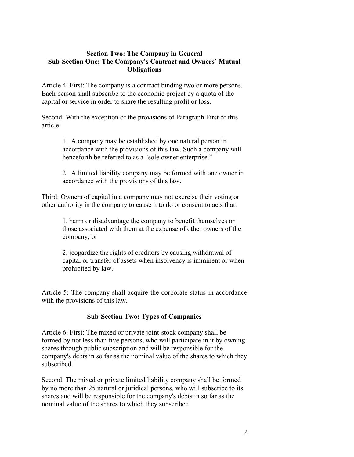### **Section Two: The Company in General Sub-Section One: The Company's Contract and Owners' Mutual Obligations**

Article 4: First: The company is a contract binding two or more persons. Each person shall subscribe to the economic project by a quota of the capital or service in order to share the resulting profit or loss.

Second: With the exception of the provisions of Paragraph First of this article:

> 1. A company may be established by one natural person in accordance with the provisions of this law. Such a company will henceforth be referred to as a "sole owner enterprise."

2. A limited liability company may be formed with one owner in accordance with the provisions of this law.

Third: Owners of capital in a company may not exercise their voting or other authority in the company to cause it to do or consent to acts that:

> 1. harm or disadvantage the company to benefit themselves or those associated with them at the expense of other owners of the company; or

2. jeopardize the rights of creditors by causing withdrawal of capital or transfer of assets when insolvency is imminent or when prohibited by law.

Article 5: The company shall acquire the corporate status in accordance with the provisions of this law.

# **Sub-Section Two: Types of Companies**

Article 6: First: The mixed or private joint-stock company shall be formed by not less than five persons, who will participate in it by owning shares through public subscription and will be responsible for the company's debts in so far as the nominal value of the shares to which they subscribed.

Second: The mixed or private limited liability company shall be formed by no more than 25 natural or juridical persons, who will subscribe to its shares and will be responsible for the company's debts in so far as the nominal value of the shares to which they subscribed.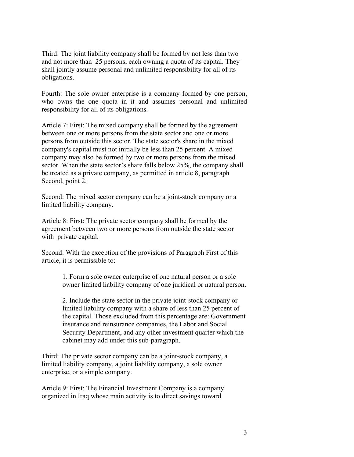Third: The joint liability company shall be formed by not less than two and not more than 25 persons, each owning a quota of its capital. They shall jointly assume personal and unlimited responsibility for all of its obligations.

Fourth: The sole owner enterprise is a company formed by one person, who owns the one quota in it and assumes personal and unlimited responsibility for all of its obligations.

Article 7: First: The mixed company shall be formed by the agreement between one or more persons from the state sector and one or more persons from outside this sector. The state sector's share in the mixed company's capital must not initially be less than 25 percent. A mixed company may also be formed by two or more persons from the mixed sector. When the state sector's share falls below 25%, the company shall be treated as a private company, as permitted in article 8, paragraph Second, point 2.

Second: The mixed sector company can be a joint-stock company or a limited liability company.

Article 8: First: The private sector company shall be formed by the agreement between two or more persons from outside the state sector with private capital.

Second: With the exception of the provisions of Paragraph First of this article, it is permissible to:

> 1. Form a sole owner enterprise of one natural person or a sole owner limited liability company of one juridical or natural person.

> 2. Include the state sector in the private joint-stock company or limited liability company with a share of less than 25 percent of the capital. Those excluded from this percentage are: Government insurance and reinsurance companies, the Labor and Social Security Department, and any other investment quarter which the cabinet may add under this sub-paragraph.

Third: The private sector company can be a joint-stock company, a limited liability company, a joint liability company, a sole owner enterprise, or a simple company.

Article 9: First: The Financial Investment Company is a company organized in Iraq whose main activity is to direct savings toward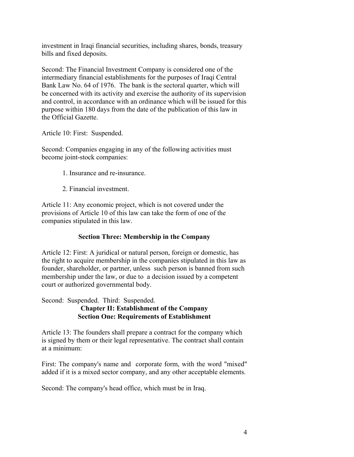investment in Iraqi financial securities, including shares, bonds, treasury bills and fixed deposits.

Second: The Financial Investment Company is considered one of the intermediary financial establishments for the purposes of Iraqi Central Bank Law No. 64 of 1976. The bank is the sectoral quarter, which will be concerned with its activity and exercise the authority of its supervision and control, in accordance with an ordinance which will be issued for this purpose within 180 days from the date of the publication of this law in the Official Gazette.

Article 10: First: Suspended.

Second: Companies engaging in any of the following activities must become joint-stock companies:

- 1. Insurance and re-insurance.
- 2. Financial investment.

Article 11: Any economic project, which is not covered under the provisions of Article 10 of this law can take the form of one of the companies stipulated in this law.

# **Section Three: Membership in the Company**

Article 12: First: A juridical or natural person, foreign or domestic, has the right to acquire membership in the companies stipulated in this law as founder, shareholder, or partner, unless such person is banned from such membership under the law, or due to a decision issued by a competent court or authorized governmental body.

Second: Suspended. Third: Suspended.

### **Chapter II: Establishment of the Company Section One: Requirements of Establishment**

Article 13: The founders shall prepare a contract for the company which is signed by them or their legal representative. The contract shall contain at a minimum:

First: The company's name and corporate form, with the word "mixed" added if it is a mixed sector company, and any other acceptable elements.

Second: The company's head office, which must be in Iraq.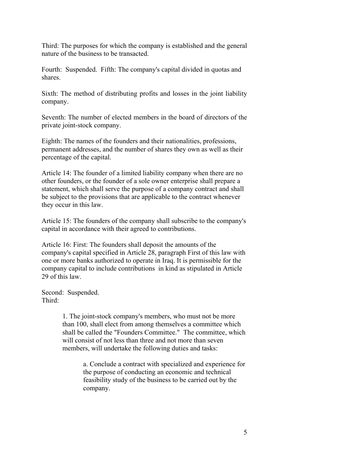Third: The purposes for which the company is established and the general nature of the business to be transacted.

Fourth: Suspended. Fifth: The company's capital divided in quotas and shares.

Sixth: The method of distributing profits and losses in the joint liability company.

Seventh: The number of elected members in the board of directors of the private joint-stock company.

Eighth: The names of the founders and their nationalities, professions, permanent addresses, and the number of shares they own as well as their percentage of the capital.

Article 14: The founder of a limited liability company when there are no other founders, or the founder of a sole owner enterprise shall prepare a statement, which shall serve the purpose of a company contract and shall be subject to the provisions that are applicable to the contract whenever they occur in this law.

Article 15: The founders of the company shall subscribe to the company's capital in accordance with their agreed to contributions.

Article 16: First: The founders shall deposit the amounts of the company's capital specified in Article 28, paragraph First of this law with one or more banks authorized to operate in Iraq. It is permissible for the company capital to include contributions in kind as stipulated in Article 29 of this law.

Second: Suspended. Third:

> 1. The joint-stock company's members, who must not be more than 100, shall elect from among themselves a committee which shall be called the "Founders Committee." The committee, which will consist of not less than three and not more than seven members, will undertake the following duties and tasks:

> > a. Conclude a contract with specialized and experience for the purpose of conducting an economic and technical feasibility study of the business to be carried out by the company.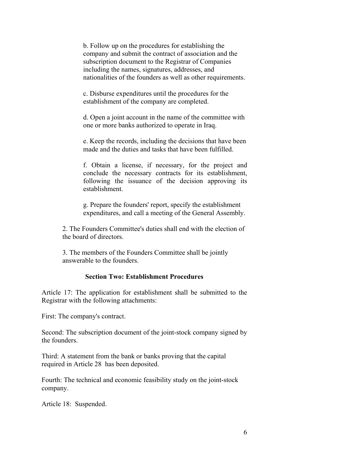b. Follow up on the procedures for establishing the company and submit the contract of association and the subscription document to the Registrar of Companies including the names, signatures, addresses, and nationalities of the founders as well as other requirements.

c. Disburse expenditures until the procedures for the establishment of the company are completed.

d. Open a joint account in the name of the committee with one or more banks authorized to operate in Iraq.

e. Keep the records, including the decisions that have been made and the duties and tasks that have been fulfilled.

f. Obtain a license, if necessary, for the project and conclude the necessary contracts for its establishment, following the issuance of the decision approving its establishment.

g. Prepare the founders' report, specify the establishment expenditures, and call a meeting of the General Assembly.

2. The Founders Committee's duties shall end with the election of the board of directors.

3. The members of the Founders Committee shall be jointly answerable to the founders.

# **Section Two: Establishment Procedures**

Article 17: The application for establishment shall be submitted to the Registrar with the following attachments:

First: The company's contract.

Second: The subscription document of the joint-stock company signed by the founders.

Third: A statement from the bank or banks proving that the capital required in Article 28 has been deposited.

Fourth: The technical and economic feasibility study on the joint-stock company.

Article 18: Suspended.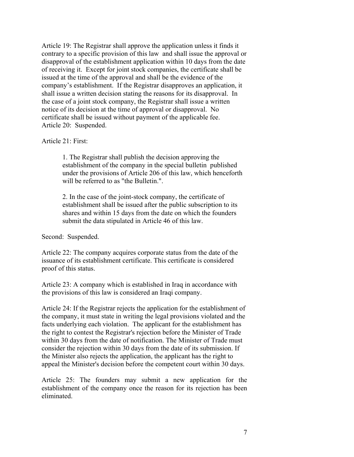Article 19: The Registrar shall approve the application unless it finds it contrary to a specific provision of this law and shall issue the approval or disapproval of the establishment application within 10 days from the date of receiving it. Except for joint stock companies, the certificate shall be issued at the time of the approval and shall be the evidence of the company's establishment. If the Registrar disapproves an application, it shall issue a written decision stating the reasons for its disapproval. In the case of a joint stock company, the Registrar shall issue a written notice of its decision at the time of approval or disapproval. No certificate shall be issued without payment of the applicable fee. Article 20: Suspended.

Article 21: First:

1. The Registrar shall publish the decision approving the establishment of the company in the special bulletin published under the provisions of Article 206 of this law, which henceforth will be referred to as "the Bulletin.".

2. In the case of the joint-stock company, the certificate of establishment shall be issued after the public subscription to its shares and within 15 days from the date on which the founders submit the data stipulated in Article 46 of this law.

Second: Suspended.

Article 22: The company acquires corporate status from the date of the issuance of its establishment certificate. This certificate is considered proof of this status.

Article 23: A company which is established in Iraq in accordance with the provisions of this law is considered an Iraqi company.

Article 24: If the Registrar rejects the application for the establishment of the company, it must state in writing the legal provisions violated and the facts underlying each violation. The applicant for the establishment has the right to contest the Registrar's rejection before the Minister of Trade within 30 days from the date of notification. The Minister of Trade must consider the rejection within 30 days from the date of its submission. If the Minister also rejects the application, the applicant has the right to appeal the Minister's decision before the competent court within 30 days.

Article 25: The founders may submit a new application for the establishment of the company once the reason for its rejection has been eliminated.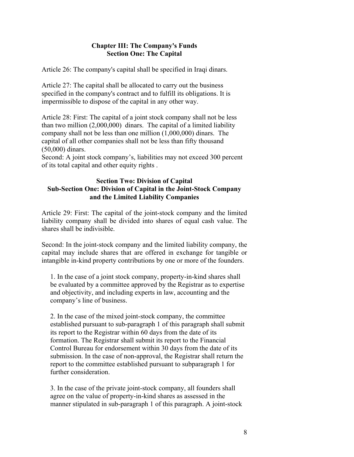### **Chapter III: The Company's Funds Section One: The Capital**

Article 26: The company's capital shall be specified in Iraqi dinars.

Article 27: The capital shall be allocated to carry out the business specified in the company's contract and to fulfill its obligations. It is impermissible to dispose of the capital in any other way.

Article 28: First: The capital of a joint stock company shall not be less than two million (2,000,000) dinars. The capital of a limited liability company shall not be less than one million (1,000,000) dinars. The capital of all other companies shall not be less than fifty thousand (50,000) dinars.

Second: A joint stock company's, liabilities may not exceed 300 percent of its total capital and other equity rights .

### **Section Two: Division of Capital Sub-Section One: Division of Capital in the Joint-Stock Company and the Limited Liability Companies**

Article 29: First: The capital of the joint-stock company and the limited liability company shall be divided into shares of equal cash value. The shares shall be indivisible.

Second: In the joint-stock company and the limited liability company, the capital may include shares that are offered in exchange for tangible or intangible in-kind property contributions by one or more of the founders.

1. In the case of a joint stock company, property-in-kind shares shall be evaluated by a committee approved by the Registrar as to expertise and objectivity, and including experts in law, accounting and the company's line of business.

2. In the case of the mixed joint-stock company, the committee established pursuant to sub-paragraph 1 of this paragraph shall submit its report to the Registrar within 60 days from the date of its formation. The Registrar shall submit its report to the Financial Control Bureau for endorsement within 30 days from the date of its submission. In the case of non-approval, the Registrar shall return the report to the committee established pursuant to subparagraph 1 for further consideration.

3. In the case of the private joint-stock company, all founders shall agree on the value of property-in-kind shares as assessed in the manner stipulated in sub-paragraph 1 of this paragraph. A joint-stock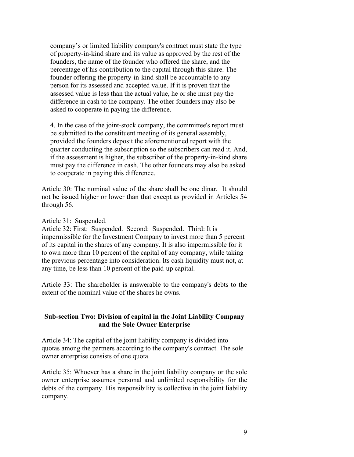company's or limited liability company's contract must state the type of property-in-kind share and its value as approved by the rest of the founders, the name of the founder who offered the share, and the percentage of his contribution to the capital through this share. The founder offering the property-in-kind shall be accountable to any person for its assessed and accepted value. If it is proven that the assessed value is less than the actual value, he or she must pay the difference in cash to the company. The other founders may also be asked to cooperate in paying the difference.

4. In the case of the joint-stock company, the committee's report must be submitted to the constituent meeting of its general assembly, provided the founders deposit the aforementioned report with the quarter conducting the subscription so the subscribers can read it. And, if the assessment is higher, the subscriber of the property-in-kind share must pay the difference in cash. The other founders may also be asked to cooperate in paying this difference.

Article 30: The nominal value of the share shall be one dinar. It should not be issued higher or lower than that except as provided in Articles 54 through 56.

Article 31: Suspended.

Article 32: First: Suspended. Second: Suspended. Third: It is impermissible for the Investment Company to invest more than 5 percent of its capital in the shares of any company. It is also impermissible for it to own more than 10 percent of the capital of any company, while taking the previous percentage into consideration. Its cash liquidity must not, at any time, be less than 10 percent of the paid-up capital.

Article 33: The shareholder is answerable to the company's debts to the extent of the nominal value of the shares he owns.

### **Sub-section Two: Division of capital in the Joint Liability Company and the Sole Owner Enterprise**

Article 34: The capital of the joint liability company is divided into quotas among the partners according to the company's contract. The sole owner enterprise consists of one quota.

Article 35: Whoever has a share in the joint liability company or the sole owner enterprise assumes personal and unlimited responsibility for the debts of the company. His responsibility is collective in the joint liability company.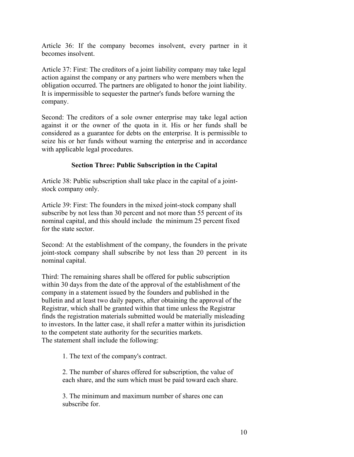Article 36: If the company becomes insolvent, every partner in it becomes insolvent.

Article 37: First: The creditors of a joint liability company may take legal action against the company or any partners who were members when the obligation occurred. The partners are obligated to honor the joint liability. It is impermissible to sequester the partner's funds before warning the company.

Second: The creditors of a sole owner enterprise may take legal action against it or the owner of the quota in it. His or her funds shall be considered as a guarantee for debts on the enterprise. It is permissible to seize his or her funds without warning the enterprise and in accordance with applicable legal procedures.

# **Section Three: Public Subscription in the Capital**

Article 38: Public subscription shall take place in the capital of a jointstock company only.

Article 39: First: The founders in the mixed joint-stock company shall subscribe by not less than 30 percent and not more than 55 percent of its nominal capital, and this should include the minimum 25 percent fixed for the state sector.

Second: At the establishment of the company, the founders in the private joint-stock company shall subscribe by not less than 20 percent in its nominal capital.

Third: The remaining shares shall be offered for public subscription within 30 days from the date of the approval of the establishment of the company in a statement issued by the founders and published in the bulletin and at least two daily papers, after obtaining the approval of the Registrar, which shall be granted within that time unless the Registrar finds the registration materials submitted would be materially misleading to investors. In the latter case, it shall refer a matter within its jurisdiction to the competent state authority for the securities markets. The statement shall include the following:

1. The text of the company's contract.

2. The number of shares offered for subscription, the value of each share, and the sum which must be paid toward each share.

3. The minimum and maximum number of shares one can subscribe for.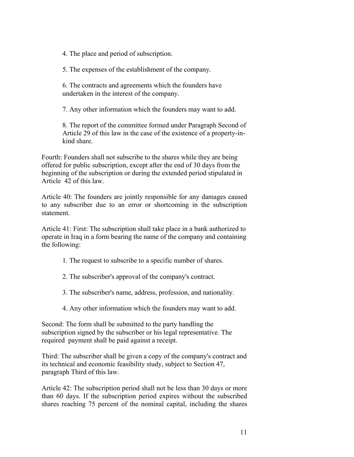4. The place and period of subscription.

5. The expenses of the establishment of the company.

6. The contracts and agreements which the founders have undertaken in the interest of the company.

7. Any other information which the founders may want to add.

8. The report of the committee formed under Paragraph Second of Article 29 of this law in the case of the existence of a property-inkind share.

Fourth: Founders shall not subscribe to the shares while they are being offered for public subscription, except after the end of 30 days from the beginning of the subscription or during the extended period stipulated in Article 42 of this law.

Article 40: The founders are jointly responsible for any damages caused to any subscriber due to an error or shortcoming in the subscription statement.

Article 41: First: The subscription shall take place in a bank authorized to operate in Iraq in a form bearing the name of the company and containing the following:

- 1. The request to subscribe to a specific number of shares.
- 2. The subscriber's approval of the company's contract.
- 3. The subscriber's name, address, profession, and nationality.
- 4. Any other information which the founders may want to add.

Second: The form shall be submitted to the party handling the subscription signed by the subscriber or his legal representative. The required payment shall be paid against a receipt.

Third: The subscriber shall be given a copy of the company's contract and its technical and economic feasibility study, subject to Section 47, paragraph Third of this law.

Article 42: The subscription period shall not be less than 30 days or more than 60 days. If the subscription period expires without the subscribed shares reaching 75 percent of the nominal capital, including the shares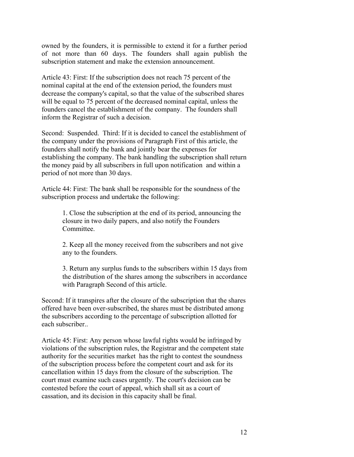owned by the founders, it is permissible to extend it for a further period of not more than 60 days. The founders shall again publish the subscription statement and make the extension announcement.

Article 43: First: If the subscription does not reach 75 percent of the nominal capital at the end of the extension period, the founders must decrease the company's capital, so that the value of the subscribed shares will be equal to 75 percent of the decreased nominal capital, unless the founders cancel the establishment of the company. The founders shall inform the Registrar of such a decision.

Second: Suspended. Third: If it is decided to cancel the establishment of the company under the provisions of Paragraph First of this article, the founders shall notify the bank and jointly bear the expenses for establishing the company. The bank handling the subscription shall return the money paid by all subscribers in full upon notification and within a period of not more than 30 days.

Article 44: First: The bank shall be responsible for the soundness of the subscription process and undertake the following:

> 1. Close the subscription at the end of its period, announcing the closure in two daily papers, and also notify the Founders **Committee**

2. Keep all the money received from the subscribers and not give any to the founders.

3. Return any surplus funds to the subscribers within 15 days from the distribution of the shares among the subscribers in accordance with Paragraph Second of this article.

Second: If it transpires after the closure of the subscription that the shares offered have been over-subscribed, the shares must be distributed among the subscribers according to the percentage of subscription allotted for each subscriber..

Article 45: First: Any person whose lawful rights would be infringed by violations of the subscription rules, the Registrar and the competent state authority for the securities market has the right to contest the soundness of the subscription process before the competent court and ask for its cancellation within 15 days from the closure of the subscription. The court must examine such cases urgently. The court's decision can be contested before the court of appeal, which shall sit as a court of cassation, and its decision in this capacity shall be final.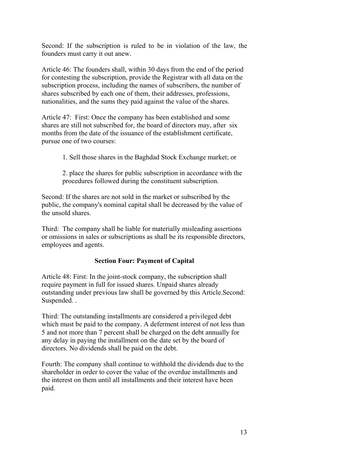Second: If the subscription is ruled to be in violation of the law, the founders must carry it out anew.

Article 46: The founders shall, within 30 days from the end of the period for contesting the subscription, provide the Registrar with all data on the subscription process, including the names of subscribers, the number of shares subscribed by each one of them, their addresses, professions, nationalities, and the sums they paid against the value of the shares.

Article 47: First: Once the company has been established and some shares are still not subscribed for, the board of directors may, after six months from the date of the issuance of the establishment certificate, pursue one of two courses:

1. Sell those shares in the Baghdad Stock Exchange market; or

2. place the shares for public subscription in accordance with the procedures followed during the constituent subscription.

Second: If the shares are not sold in the market or subscribed by the public, the company's nominal capital shall be decreased by the value of the unsold shares.

Third: The company shall be liable for materially misleading assertions or omissions in sales or subscriptions as shall be its responsible directors, employees and agents.

# **Section Four: Payment of Capital**

Article 48: First: In the joint-stock company, the subscription shall require payment in full for issued shares. Unpaid shares already outstanding under previous law shall be governed by this Article.Second: Suspended. .

Third: The outstanding installments are considered a privileged debt which must be paid to the company. A deferment interest of not less than 5 and not more than 7 percent shall be charged on the debt annually for any delay in paying the installment on the date set by the board of directors. No dividends shall be paid on the debt.

Fourth: The company shall continue to withhold the dividends due to the shareholder in order to cover the value of the overdue installments and the interest on them until all installments and their interest have been paid.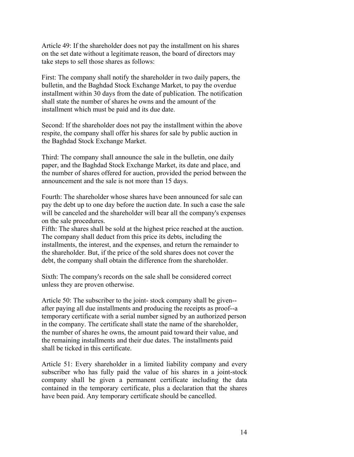Article 49: If the shareholder does not pay the installment on his shares on the set date without a legitimate reason, the board of directors may take steps to sell those shares as follows:

First: The company shall notify the shareholder in two daily papers, the bulletin, and the Baghdad Stock Exchange Market, to pay the overdue installment within 30 days from the date of publication. The notification shall state the number of shares he owns and the amount of the installment which must be paid and its due date.

Second: If the shareholder does not pay the installment within the above respite, the company shall offer his shares for sale by public auction in the Baghdad Stock Exchange Market.

Third: The company shall announce the sale in the bulletin, one daily paper, and the Baghdad Stock Exchange Market, its date and place, and the number of shares offered for auction, provided the period between the announcement and the sale is not more than 15 days.

Fourth: The shareholder whose shares have been announced for sale can pay the debt up to one day before the auction date. In such a case the sale will be canceled and the shareholder will bear all the company's expenses on the sale procedures.

Fifth: The shares shall be sold at the highest price reached at the auction. The company shall deduct from this price its debts, including the installments, the interest, and the expenses, and return the remainder to the shareholder. But, if the price of the sold shares does not cover the debt, the company shall obtain the difference from the shareholder.

Sixth: The company's records on the sale shall be considered correct unless they are proven otherwise.

Article 50: The subscriber to the joint- stock company shall be given- after paying all due installments and producing the receipts as proof--a temporary certificate with a serial number signed by an authorized person in the company. The certificate shall state the name of the shareholder, the number of shares he owns, the amount paid toward their value, and the remaining installments and their due dates. The installments paid shall be ticked in this certificate.

Article 51: Every shareholder in a limited liability company and every subscriber who has fully paid the value of his shares in a joint-stock company shall be given a permanent certificate including the data contained in the temporary certificate, plus a declaration that the shares have been paid. Any temporary certificate should be cancelled.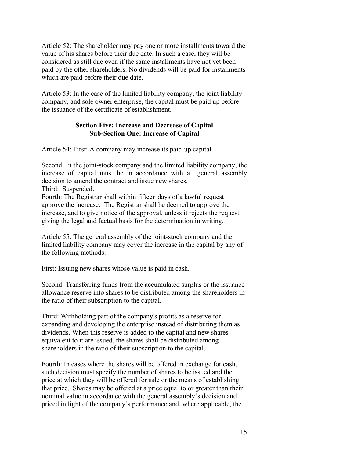Article 52: The shareholder may pay one or more installments toward the value of his shares before their due date. In such a case, they will be considered as still due even if the same installments have not yet been paid by the other shareholders. No dividends will be paid for installments which are paid before their due date.

Article 53: In the case of the limited liability company, the joint liability company, and sole owner enterprise, the capital must be paid up before the issuance of the certificate of establishment.

### **Section Five: Increase and Decrease of Capital Sub-Section One: Increase of Capital**

Article 54: First: A company may increase its paid-up capital.

Second: In the joint-stock company and the limited liability company, the increase of capital must be in accordance with a general assembly decision to amend the contract and issue new shares.

Third: Suspended.

Fourth: The Registrar shall within fifteen days of a lawful request approve the increase. The Registrar shall be deemed to approve the increase, and to give notice of the approval, unless it rejects the request, giving the legal and factual basis for the determination in writing.

Article 55: The general assembly of the joint-stock company and the limited liability company may cover the increase in the capital by any of the following methods:

First: Issuing new shares whose value is paid in cash.

Second: Transferring funds from the accumulated surplus or the issuance allowance reserve into shares to be distributed among the shareholders in the ratio of their subscription to the capital.

Third: Withholding part of the company's profits as a reserve for expanding and developing the enterprise instead of distributing them as dividends. When this reserve is added to the capital and new shares equivalent to it are issued, the shares shall be distributed among shareholders in the ratio of their subscription to the capital.

Fourth: In cases where the shares will be offered in exchange for cash, such decision must specify the number of shares to be issued and the price at which they will be offered for sale or the means of establishing that price. Shares may be offered at a price equal to or greater than their nominal value in accordance with the general assembly's decision and priced in light of the company's performance and, where applicable, the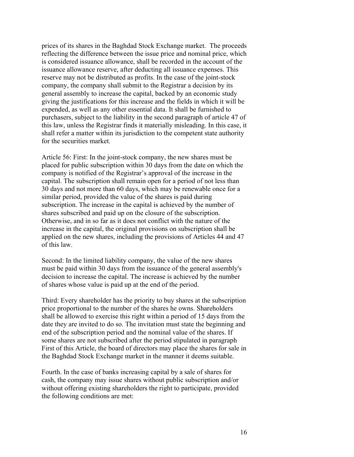prices of its shares in the Baghdad Stock Exchange market. The proceeds reflecting the difference between the issue price and nominal price, which is considered issuance allowance, shall be recorded in the account of the issuance allowance reserve, after deducting all issuance expenses. This reserve may not be distributed as profits. In the case of the joint-stock company, the company shall submit to the Registrar a decision by its general assembly to increase the capital, backed by an economic study giving the justifications for this increase and the fields in which it will be expended, as well as any other essential data. It shall be furnished to purchasers, subject to the liability in the second paragraph of article 47 of this law, unless the Registrar finds it materially misleading. In this case, it shall refer a matter within its jurisdiction to the competent state authority for the securities market.

Article 56: First: In the joint-stock company, the new shares must be placed for public subscription within 30 days from the date on which the company is notified of the Registrar's approval of the increase in the capital. The subscription shall remain open for a period of not less than 30 days and not more than 60 days, which may be renewable once for a similar period, provided the value of the shares is paid during subscription. The increase in the capital is achieved by the number of shares subscribed and paid up on the closure of the subscription. Otherwise, and in so far as it does not conflict with the nature of the increase in the capital, the original provisions on subscription shall be applied on the new shares, including the provisions of Articles 44 and 47 of this law.

Second: In the limited liability company, the value of the new shares must be paid within 30 days from the issuance of the general assembly's decision to increase the capital. The increase is achieved by the number of shares whose value is paid up at the end of the period.

Third: Every shareholder has the priority to buy shares at the subscription price proportional to the number of the shares he owns. Shareholders shall be allowed to exercise this right within a period of 15 days from the date they are invited to do so. The invitation must state the beginning and end of the subscription period and the nominal value of the shares. If some shares are not subscribed after the period stipulated in paragraph First of this Article, the board of directors may place the shares for sale in the Baghdad Stock Exchange market in the manner it deems suitable.

Fourth. In the case of banks increasing capital by a sale of shares for cash, the company may issue shares without public subscription and/or without offering existing shareholders the right to participate, provided the following conditions are met: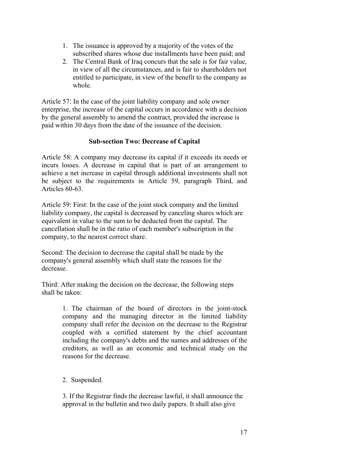- 1. The issuance is approved by a majority of the votes of the subscribed shares whose due installments have been paid; and
- 2. The Central Bank of Iraq concurs that the sale is for fair value, in view of all the circumstances, and is fair to shareholders not entitled to participate, in view of the benefit to the company as whole.

Article 57: In the case of the joint liability company and sole owner enterprise, the increase of the capital occurs in accordance with a decision by the general assembly to amend the contract, provided the increase is paid within 30 days from the date of the issuance of the decision.

# **Sub-section Two: Decrease of Capital**

Article 58: A company may decrease its capital if it exceeds its needs or incurs losses. A decrease in capital that is part of an arrangement to achieve a net increase in capital through additional investments shall not be subject to the requirements in Article 59, paragraph Third, and Articles 60-63.

Article 59: First: In the case of the joint stock company and the limited liability company, the capital is decreased by canceling shares which are equivalent in value to the sum to be deducted from the capital. The cancellation shall be in the ratio of each member's subscription in the company, to the nearest correct share.

Second: The decision to decrease the capital shall be made by the company's general assembly which shall state the reasons for the decrease.

Third: After making the decision on the decrease, the following steps shall be taken:

> 1. The chairman of the board of directors in the joint-stock company and the managing director in the limited liability company shall refer the decision on the decrease to the Registrar coupled with a certified statement by the chief accountant including the company's debts and the names and addresses of the creditors, as well as an economic and technical study on the reasons for the decrease.

# 2. Suspended.

3. If the Registrar finds the decrease lawful, it shall announce the approval in the bulletin and two daily papers. It shall also give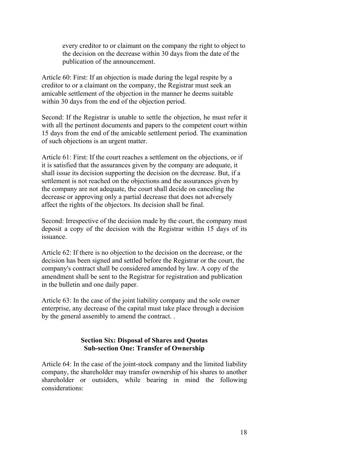every creditor to or claimant on the company the right to object to the decision on the decrease within 30 days from the date of the publication of the announcement.

Article 60: First: If an objection is made during the legal respite by a creditor to or a claimant on the company, the Registrar must seek an amicable settlement of the objection in the manner he deems suitable within 30 days from the end of the objection period.

Second: If the Registrar is unable to settle the objection, he must refer it with all the pertinent documents and papers to the competent court within 15 days from the end of the amicable settlement period. The examination of such objections is an urgent matter.

Article 61: First: If the court reaches a settlement on the objections, or if it is satisfied that the assurances given by the company are adequate, it shall issue its decision supporting the decision on the decrease. But, if a settlement is not reached on the objections and the assurances given by the company are not adequate, the court shall decide on canceling the decrease or approving only a partial decrease that does not adversely affect the rights of the objectors. Its decision shall be final.

Second: Irrespective of the decision made by the court, the company must deposit a copy of the decision with the Registrar within 15 days of its issuance.

Article 62: If there is no objection to the decision on the decrease, or the decision has been signed and settled before the Registrar or the court, the company's contract shall be considered amended by law. A copy of the amendment shall be sent to the Registrar for registration and publication in the bulletin and one daily paper.

Article 63: In the case of the joint liability company and the sole owner enterprise, any decrease of the capital must take place through a decision by the general assembly to amend the contract. .

### **Section Six: Disposal of Shares and Quotas Sub-section One: Transfer of Ownership**

Article 64: In the case of the joint-stock company and the limited liability company, the shareholder may transfer ownership of his shares to another shareholder or outsiders, while bearing in mind the following considerations: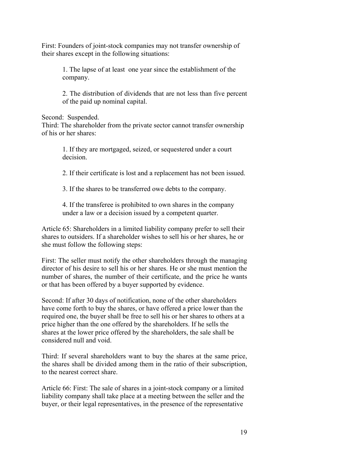First: Founders of joint-stock companies may not transfer ownership of their shares except in the following situations:

> 1. The lapse of at least one year since the establishment of the company.

2. The distribution of dividends that are not less than five percent of the paid up nominal capital.

Second: Suspended.

Third: The shareholder from the private sector cannot transfer ownership of his or her shares:

> 1. If they are mortgaged, seized, or sequestered under a court decision.

2. If their certificate is lost and a replacement has not been issued.

3. If the shares to be transferred owe debts to the company.

4. If the transferee is prohibited to own shares in the company under a law or a decision issued by a competent quarter.

Article 65: Shareholders in a limited liability company prefer to sell their shares to outsiders. If a shareholder wishes to sell his or her shares, he or she must follow the following steps:

First: The seller must notify the other shareholders through the managing director of his desire to sell his or her shares. He or she must mention the number of shares, the number of their certificate, and the price he wants or that has been offered by a buyer supported by evidence.

Second: If after 30 days of notification, none of the other shareholders have come forth to buy the shares, or have offered a price lower than the required one, the buyer shall be free to sell his or her shares to others at a price higher than the one offered by the shareholders. If he sells the shares at the lower price offered by the shareholders, the sale shall be considered null and void.

Third: If several shareholders want to buy the shares at the same price, the shares shall be divided among them in the ratio of their subscription, to the nearest correct share.

Article 66: First: The sale of shares in a joint-stock company or a limited liability company shall take place at a meeting between the seller and the buyer, or their legal representatives, in the presence of the representative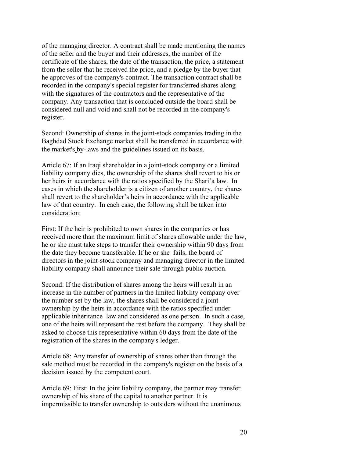of the managing director. A contract shall be made mentioning the names of the seller and the buyer and their addresses, the number of the certificate of the shares, the date of the transaction, the price, a statement from the seller that he received the price, and a pledge by the buyer that he approves of the company's contract. The transaction contract shall be recorded in the company's special register for transferred shares along with the signatures of the contractors and the representative of the company. Any transaction that is concluded outside the board shall be considered null and void and shall not be recorded in the company's register.

Second: Ownership of shares in the joint-stock companies trading in the Baghdad Stock Exchange market shall be transferred in accordance with the market's by-laws and the guidelines issued on its basis.

Article 67: If an Iraqi shareholder in a joint-stock company or a limited liability company dies, the ownership of the shares shall revert to his or her heirs in accordance with the ratios specified by the Shari'a law. In cases in which the shareholder is a citizen of another country, the shares shall revert to the shareholder's heirs in accordance with the applicable law of that country. In each case, the following shall be taken into consideration:

First: If the heir is prohibited to own shares in the companies or has received more than the maximum limit of shares allowable under the law, he or she must take steps to transfer their ownership within 90 days from the date they become transferable. If he or she fails, the board of directors in the joint-stock company and managing director in the limited liability company shall announce their sale through public auction.

Second: If the distribution of shares among the heirs will result in an increase in the number of partners in the limited liability company over the number set by the law, the shares shall be considered a joint ownership by the heirs in accordance with the ratios specified under applicable inheritance law and considered as one person. In such a case, one of the heirs will represent the rest before the company. They shall be asked to choose this representative within 60 days from the date of the registration of the shares in the company's ledger.

Article 68: Any transfer of ownership of shares other than through the sale method must be recorded in the company's register on the basis of a decision issued by the competent court.

Article 69: First: In the joint liability company, the partner may transfer ownership of his share of the capital to another partner. It is impermissible to transfer ownership to outsiders without the unanimous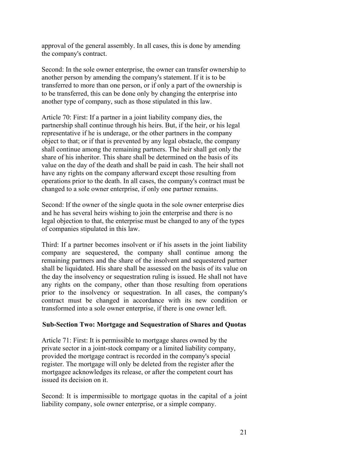approval of the general assembly. In all cases, this is done by amending the company's contract.

Second: In the sole owner enterprise, the owner can transfer ownership to another person by amending the company's statement. If it is to be transferred to more than one person, or if only a part of the ownership is to be transferred, this can be done only by changing the enterprise into another type of company, such as those stipulated in this law.

Article 70: First: If a partner in a joint liability company dies, the partnership shall continue through his heirs. But, if the heir, or his legal representative if he is underage, or the other partners in the company object to that; or if that is prevented by any legal obstacle, the company shall continue among the remaining partners. The heir shall get only the share of his inheritor. This share shall be determined on the basis of its value on the day of the death and shall be paid in cash. The heir shall not have any rights on the company afterward except those resulting from operations prior to the death. In all cases, the company's contract must be changed to a sole owner enterprise, if only one partner remains.

Second: If the owner of the single quota in the sole owner enterprise dies and he has several heirs wishing to join the enterprise and there is no legal objection to that, the enterprise must be changed to any of the types of companies stipulated in this law.

Third: If a partner becomes insolvent or if his assets in the joint liability company are sequestered, the company shall continue among the remaining partners and the share of the insolvent and sequestered partner shall be liquidated. His share shall be assessed on the basis of its value on the day the insolvency or sequestration ruling is issued. He shall not have any rights on the company, other than those resulting from operations prior to the insolvency or sequestration. In all cases, the company's contract must be changed in accordance with its new condition or transformed into a sole owner enterprise, if there is one owner left.

#### **Sub-Section Two: Mortgage and Sequestration of Shares and Quotas**

Article 71: First: It is permissible to mortgage shares owned by the private sector in a joint-stock company or a limited liability company, provided the mortgage contract is recorded in the company's special register. The mortgage will only be deleted from the register after the mortgagee acknowledges its release, or after the competent court has issued its decision on it.

Second: It is impermissible to mortgage quotas in the capital of a joint liability company, sole owner enterprise, or a simple company.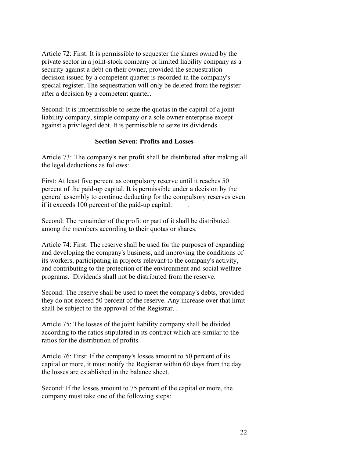Article 72: First: It is permissible to sequester the shares owned by the private sector in a joint-stock company or limited liability company as a security against a debt on their owner, provided the sequestration decision issued by a competent quarter is recorded in the company's special register. The sequestration will only be deleted from the register after a decision by a competent quarter.

Second: It is impermissible to seize the quotas in the capital of a joint liability company, simple company or a sole owner enterprise except against a privileged debt. It is permissible to seize its dividends.

### **Section Seven: Profits and Losses**

Article 73: The company's net profit shall be distributed after making all the legal deductions as follows:

First: At least five percent as compulsory reserve until it reaches 50 percent of the paid-up capital. It is permissible under a decision by the general assembly to continue deducting for the compulsory reserves even if it exceeds 100 percent of the paid-up capital. .

Second: The remainder of the profit or part of it shall be distributed among the members according to their quotas or shares.

Article 74: First: The reserve shall be used for the purposes of expanding and developing the company's business, and improving the conditions of its workers, participating in projects relevant to the company's activity, and contributing to the protection of the environment and social welfare programs. Dividends shall not be distributed from the reserve.

Second: The reserve shall be used to meet the company's debts, provided they do not exceed 50 percent of the reserve. Any increase over that limit shall be subject to the approval of the Registrar. .

Article 75: The losses of the joint liability company shall be divided according to the ratios stipulated in its contract which are similar to the ratios for the distribution of profits.

Article 76: First: If the company's losses amount to 50 percent of its capital or more, it must notify the Registrar within 60 days from the day the losses are established in the balance sheet.

Second: If the losses amount to 75 percent of the capital or more, the company must take one of the following steps: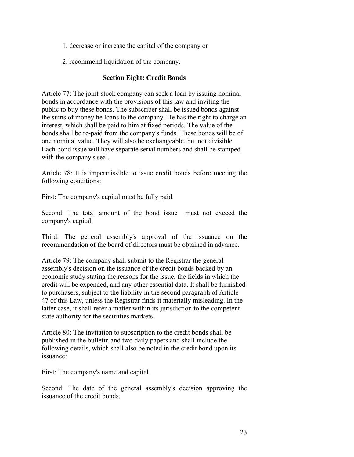- 1. decrease or increase the capital of the company or
- 2. recommend liquidation of the company.

### **Section Eight: Credit Bonds**

Article 77: The joint-stock company can seek a loan by issuing nominal bonds in accordance with the provisions of this law and inviting the public to buy these bonds. The subscriber shall be issued bonds against the sums of money he loans to the company. He has the right to charge an interest, which shall be paid to him at fixed periods. The value of the bonds shall be re-paid from the company's funds. These bonds will be of one nominal value. They will also be exchangeable, but not divisible. Each bond issue will have separate serial numbers and shall be stamped with the company's seal.

Article 78: It is impermissible to issue credit bonds before meeting the following conditions:

First: The company's capital must be fully paid.

Second: The total amount of the bond issue must not exceed the company's capital.

Third: The general assembly's approval of the issuance on the recommendation of the board of directors must be obtained in advance.

Article 79: The company shall submit to the Registrar the general assembly's decision on the issuance of the credit bonds backed by an economic study stating the reasons for the issue, the fields in which the credit will be expended, and any other essential data. It shall be furnished to purchasers, subject to the liability in the second paragraph of Article 47 of this Law, unless the Registrar finds it materially misleading. In the latter case, it shall refer a matter within its jurisdiction to the competent state authority for the securities markets.

Article 80: The invitation to subscription to the credit bonds shall be published in the bulletin and two daily papers and shall include the following details, which shall also be noted in the credit bond upon its issuance:

First: The company's name and capital.

Second: The date of the general assembly's decision approving the issuance of the credit bonds.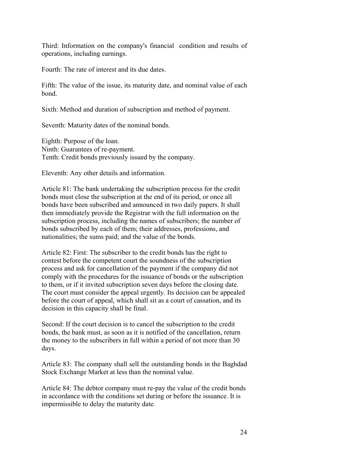Third: Information on the company's financial condition and results of operations, including earnings.

Fourth: The rate of interest and its due dates.

Fifth: The value of the issue, its maturity date, and nominal value of each bond.

Sixth: Method and duration of subscription and method of payment.

Seventh: Maturity dates of the nominal bonds.

Eighth: Purpose of the loan. Ninth: Guarantees of re-payment. Tenth: Credit bonds previously issued by the company.

Eleventh: Any other details and information.

Article 81: The bank undertaking the subscription process for the credit bonds must close the subscription at the end of its period, or once all bonds have been subscribed and announced in two daily papers. It shall then immediately provide the Registrar with the full information on the subscription process, including the names of subscribers; the number of bonds subscribed by each of them; their addresses, professions, and nationalities; the sums paid; and the value of the bonds.

Article 82: First: The subscriber to the credit bonds has the right to contest before the competent court the soundness of the subscription process and ask for cancellation of the payment if the company did not comply with the procedures for the issuance of bonds or the subscription to them, or if it invited subscription seven days before the closing date. The court must consider the appeal urgently. Its decision can be appealed before the court of appeal, which shall sit as a court of cassation, and its decision in this capacity shall be final.

Second: If the court decision is to cancel the subscription to the credit bonds, the bank must, as soon as it is notified of the cancellation, return the money to the subscribers in full within a period of not more than 30 days.

Article 83: The company shall sell the outstanding bonds in the Baghdad Stock Exchange Market at less than the nominal value.

Article 84: The debtor company must re-pay the value of the credit bonds in accordance with the conditions set during or before the issuance. It is impermissible to delay the maturity date.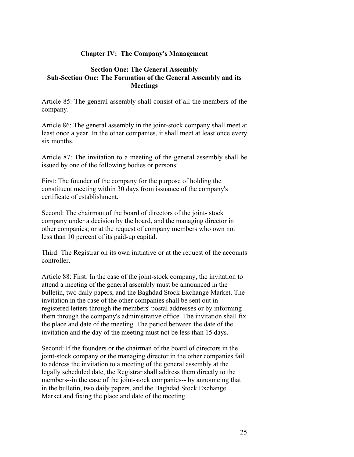### **Chapter IV: The Company's Management**

#### **Section One: The General Assembly Sub-Section One: The Formation of the General Assembly and its Meetings**

Article 85: The general assembly shall consist of all the members of the company.

Article 86: The general assembly in the joint-stock company shall meet at least once a year. In the other companies, it shall meet at least once every six months.

Article 87: The invitation to a meeting of the general assembly shall be issued by one of the following bodies or persons:

First: The founder of the company for the purpose of holding the constituent meeting within 30 days from issuance of the company's certificate of establishment.

Second: The chairman of the board of directors of the joint- stock company under a decision by the board, and the managing director in other companies; or at the request of company members who own not less than 10 percent of its paid-up capital.

Third: The Registrar on its own initiative or at the request of the accounts controller.

Article 88: First: In the case of the joint-stock company, the invitation to attend a meeting of the general assembly must be announced in the bulletin, two daily papers, and the Baghdad Stock Exchange Market. The invitation in the case of the other companies shall be sent out in registered letters through the members' postal addresses or by informing them through the company's administrative office. The invitation shall fix the place and date of the meeting. The period between the date of the invitation and the day of the meeting must not be less than 15 days.

Second: If the founders or the chairman of the board of directors in the joint-stock company or the managing director in the other companies fail to address the invitation to a meeting of the general assembly at the legally scheduled date, the Registrar shall address them directly to the members--in the case of the joint-stock companies-- by announcing that in the bulletin, two daily papers, and the Baghdad Stock Exchange Market and fixing the place and date of the meeting.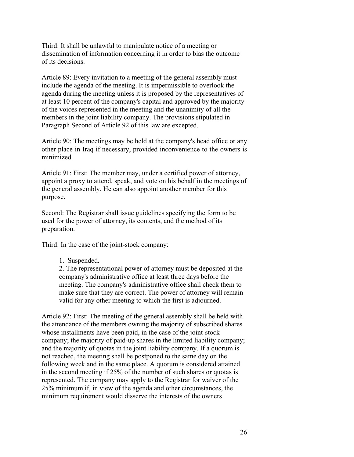Third: It shall be unlawful to manipulate notice of a meeting or dissemination of information concerning it in order to bias the outcome of its decisions.

Article 89: Every invitation to a meeting of the general assembly must include the agenda of the meeting. It is impermissible to overlook the agenda during the meeting unless it is proposed by the representatives of at least 10 percent of the company's capital and approved by the majority of the voices represented in the meeting and the unanimity of all the members in the joint liability company. The provisions stipulated in Paragraph Second of Article 92 of this law are excepted.

Article 90: The meetings may be held at the company's head office or any other place in Iraq if necessary, provided inconvenience to the owners is minimized.

Article 91: First: The member may, under a certified power of attorney, appoint a proxy to attend, speak, and vote on his behalf in the meetings of the general assembly. He can also appoint another member for this purpose.

Second: The Registrar shall issue guidelines specifying the form to be used for the power of attorney, its contents, and the method of its preparation.

Third: In the case of the joint-stock company:

1. Suspended.

2. The representational power of attorney must be deposited at the company's administrative office at least three days before the meeting. The company's administrative office shall check them to make sure that they are correct. The power of attorney will remain valid for any other meeting to which the first is adjourned.

Article 92: First: The meeting of the general assembly shall be held with the attendance of the members owning the majority of subscribed shares whose installments have been paid, in the case of the joint-stock company; the majority of paid-up shares in the limited liability company; and the majority of quotas in the joint liability company. If a quorum is not reached, the meeting shall be postponed to the same day on the following week and in the same place. A quorum is considered attained in the second meeting if 25% of the number of such shares or quotas is represented. The company may apply to the Registrar for waiver of the 25% minimum if, in view of the agenda and other circumstances, the minimum requirement would disserve the interests of the owners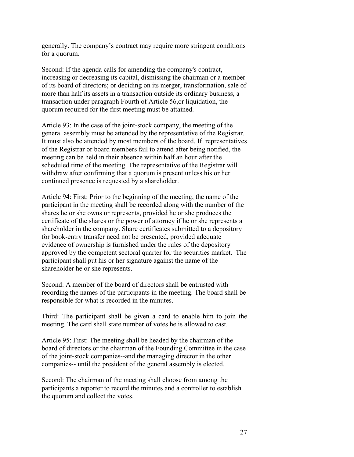generally. The company's contract may require more stringent conditions for a quorum.

Second: If the agenda calls for amending the company's contract, increasing or decreasing its capital, dismissing the chairman or a member of its board of directors; or deciding on its merger, transformation, sale of more than half its assets in a transaction outside its ordinary business, a transaction under paragraph Fourth of Article 56,or liquidation, the quorum required for the first meeting must be attained.

Article 93: In the case of the joint-stock company, the meeting of the general assembly must be attended by the representative of the Registrar. It must also be attended by most members of the board. If representatives of the Registrar or board members fail to attend after being notified, the meeting can be held in their absence within half an hour after the scheduled time of the meeting. The representative of the Registrar will withdraw after confirming that a quorum is present unless his or her continued presence is requested by a shareholder.

Article 94: First: Prior to the beginning of the meeting, the name of the participant in the meeting shall be recorded along with the number of the shares he or she owns or represents, provided he or she produces the certificate of the shares or the power of attorney if he or she represents a shareholder in the company. Share certificates submitted to a depository for book-entry transfer need not be presented, provided adequate evidence of ownership is furnished under the rules of the depository approved by the competent sectoral quarter for the securities market. The participant shall put his or her signature against the name of the shareholder he or she represents.

Second: A member of the board of directors shall be entrusted with recording the names of the participants in the meeting. The board shall be responsible for what is recorded in the minutes.

Third: The participant shall be given a card to enable him to join the meeting. The card shall state number of votes he is allowed to cast.

Article 95: First: The meeting shall be headed by the chairman of the board of directors or the chairman of the Founding Committee in the case of the joint-stock companies--and the managing director in the other companies-- until the president of the general assembly is elected.

Second: The chairman of the meeting shall choose from among the participants a reporter to record the minutes and a controller to establish the quorum and collect the votes.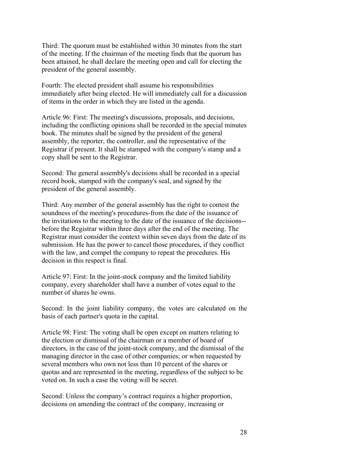Third: The quorum must be established within 30 minutes from the start of the meeting. If the chairman of the meeting finds that the quorum has been attained, he shall declare the meeting open and call for electing the president of the general assembly.

Fourth: The elected president shall assume his responsibilities immediately after being elected. He will immediately call for a discussion of items in the order in which they are listed in the agenda.

Article 96: First: The meeting's discussions, proposals, and decisions, including the conflicting opinions shall be recorded in the special minutes book. The minutes shall be signed by the president of the general assembly, the reporter, the controller, and the representative of the Registrar if present. It shall be stamped with the company's stamp and a copy shall be sent to the Registrar.

Second: The general assembly's decisions shall be recorded in a special record book, stamped with the company's seal, and signed by the president of the general assembly.

Third: Any member of the general assembly has the right to contest the soundness of the meeting's procedures-from the date of the issuance of the invitations to the meeting to the date of the issuance of the decisions- before the Registrar within three days after the end of the meeting. The Registrar must consider the context within seven days from the date of its submission. He has the power to cancel those procedures, if they conflict with the law, and compel the company to repeat the procedures. His decision in this respect is final.

Article 97: First: In the joint-stock company and the limited liability company, every shareholder shall have a number of votes equal to the number of shares he owns.

Second: In the joint liability company, the votes are calculated on the basis of each partner's quota in the capital.

Article 98: First: The voting shall be open except on matters relating to the election or dismissal of the chairman or a member of board of directors, in the case of the joint-stock company, and the dismissal of the managing director in the case of other companies; or when requested by several members who own not less than 10 percent of the shares or quotas and are represented in the meeting, regardless of the subject to be voted on. In such a case the voting will be secret.

Second: Unless the company's contract requires a higher proportion, decisions on amending the contract of the company, increasing or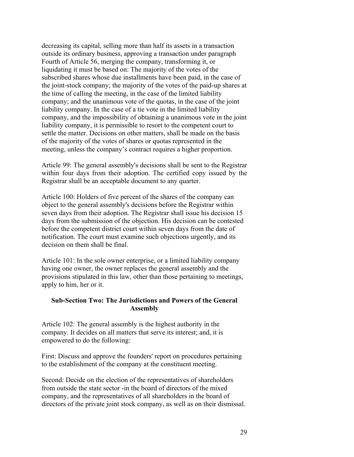decreasing its capital, selling more than half its assets in a transaction outside its ordinary business, approving a transaction under paragraph Fourth of Article 56, merging the company, transforming it, or liquidating it must be based on: The majority of the votes of the subscribed shares whose due installments have been paid, in the case of the joint-stock company; the majority of the votes of the paid-up shares at the time of calling the meeting, in the case of the limited liability company; and the unanimous vote of the quotas, in the case of the joint liability company. In the case of a tie vote in the limited liability company, and the impossibility of obtaining a unanimous vote in the joint liability company, it is permissible to resort to the competent court to settle the matter. Decisions on other matters, shall be made on the basis of the majority of the votes of shares or quotas represented in the meeting, unless the company's contract requires a higher proportion.

Article 99: The general assembly's decisions shall be sent to the Registrar within four days from their adoption. The certified copy issued by the Registrar shall be an acceptable document to any quarter.

Article 100: Holders of five percent of the shares of the company can object to the general assembly's decisions before the Registrar within seven days from their adoption. The Registrar shall issue his decision 15 days from the submission of the objection. His decision can be contested before the competent district court within seven days from the date of notification. The court must examine such objections urgently, and its decision on them shall be final.

Article 101: In the sole owner enterprise, or a limited liability company having one owner, the owner replaces the general assembly and the provisions stipulated in this law, other than those pertaining to meetings, apply to him, her or it.

#### **Sub-Section Two: The Jurisdictions and Powers of the General Assembly**

Article 102: The general assembly is the highest authority in the company. It decides on all matters that serve its interest; and, it is empowered to do the following:

First: Discuss and approve the founders' report on procedures pertaining to the establishment of the company at the constituent meeting.

Second: Decide on the election of the representatives of shareholders from outside the state sector -in the board of directors of the mixed company, and the representatives of all shareholders in the board of directors of the private joint stock company, as well as on their dismissal.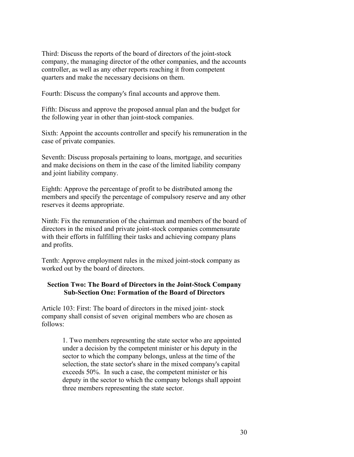Third: Discuss the reports of the board of directors of the joint-stock company, the managing director of the other companies, and the accounts controller, as well as any other reports reaching it from competent quarters and make the necessary decisions on them.

Fourth: Discuss the company's final accounts and approve them.

Fifth: Discuss and approve the proposed annual plan and the budget for the following year in other than joint-stock companies.

Sixth: Appoint the accounts controller and specify his remuneration in the case of private companies.

Seventh: Discuss proposals pertaining to loans, mortgage, and securities and make decisions on them in the case of the limited liability company and joint liability company.

Eighth: Approve the percentage of profit to be distributed among the members and specify the percentage of compulsory reserve and any other reserves it deems appropriate.

Ninth: Fix the remuneration of the chairman and members of the board of directors in the mixed and private joint-stock companies commensurate with their efforts in fulfilling their tasks and achieving company plans and profits.

Tenth: Approve employment rules in the mixed joint-stock company as worked out by the board of directors.

### **Section Two: The Board of Directors in the Joint-Stock Company Sub-Section One: Formation of the Board of Directors**

Article 103: First: The board of directors in the mixed joint- stock company shall consist of seven original members who are chosen as follows:

> 1. Two members representing the state sector who are appointed under a decision by the competent minister or his deputy in the sector to which the company belongs, unless at the time of the selection, the state sector's share in the mixed company's capital exceeds 50%. In such a case, the competent minister or his deputy in the sector to which the company belongs shall appoint three members representing the state sector.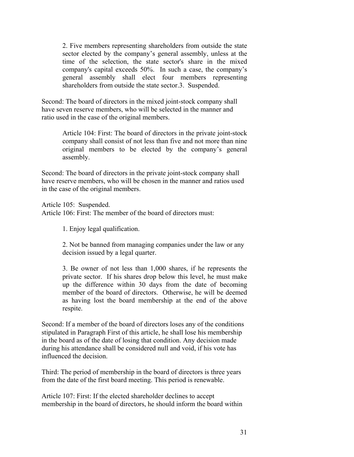2. Five members representing shareholders from outside the state sector elected by the company's general assembly, unless at the time of the selection, the state sector's share in the mixed company's capital exceeds 50%. In such a case, the company's general assembly shall elect four members representing shareholders from outside the state sector.3. Suspended.

Second: The board of directors in the mixed joint-stock company shall have seven reserve members, who will be selected in the manner and ratio used in the case of the original members.

> Article 104: First: The board of directors in the private joint-stock company shall consist of not less than five and not more than nine original members to be elected by the company's general assembly.

Second: The board of directors in the private joint-stock company shall have reserve members, who will be chosen in the manner and ratios used in the case of the original members.

Article 105: Suspended.

Article 106: First: The member of the board of directors must:

1. Enjoy legal qualification.

2. Not be banned from managing companies under the law or any decision issued by a legal quarter.

3. Be owner of not less than 1,000 shares, if he represents the private sector. If his shares drop below this level, he must make up the difference within 30 days from the date of becoming member of the board of directors. Otherwise, he will be deemed as having lost the board membership at the end of the above respite.

Second: If a member of the board of directors loses any of the conditions stipulated in Paragraph First of this article, he shall lose his membership in the board as of the date of losing that condition. Any decision made during his attendance shall be considered null and void, if his vote has influenced the decision.

Third: The period of membership in the board of directors is three years from the date of the first board meeting. This period is renewable.

Article 107: First: If the elected shareholder declines to accept membership in the board of directors, he should inform the board within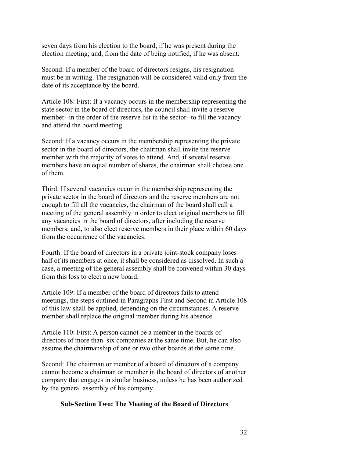seven days from his election to the board, if he was present during the election meeting; and, from the date of being notified, if he was absent.

Second: If a member of the board of directors resigns, his resignation must be in writing. The resignation will be considered valid only from the date of its acceptance by the board.

Article 108: First: If a vacancy occurs in the membership representing the state sector in the board of directors, the council shall invite a reserve member--in the order of the reserve list in the sector--to fill the vacancy and attend the board meeting.

Second: If a vacancy occurs in the membership representing the private sector in the board of directors, the chairman shall invite the reserve member with the majority of votes to attend. And, if several reserve members have an equal number of shares, the chairman shall choose one of them.

Third: If several vacancies occur in the membership representing the private sector in the board of directors and the reserve members are not enough to fill all the vacancies, the chairman of the board shall call a meeting of the general assembly in order to elect original members to fill any vacancies in the board of directors, after including the reserve members; and, to also elect reserve members in their place within 60 days from the occurrence of the vacancies.

Fourth: If the board of directors in a private joint-stock company loses half of its members at once, it shall be considered as dissolved. In such a case, a meeting of the general assembly shall be convened within 30 days from this loss to elect a new board.

Article 109: If a member of the board of directors fails to attend meetings, the steps outlined in Paragraphs First and Second in Article 108 of this law shall be applied, depending on the circumstances. A reserve member shall replace the original member during his absence.

Article 110: First: A person cannot be a member in the boards of directors of more than six companies at the same time. But, he can also assume the chairmanship of one or two other boards at the same time.

Second: The chairman or member of a board of directors of a company cannot become a chairman or member in the board of directors of another company that engages in similar business, unless he has been authorized by the general assembly of his company.

# **Sub-Section Two: The Meeting of the Board of Directors**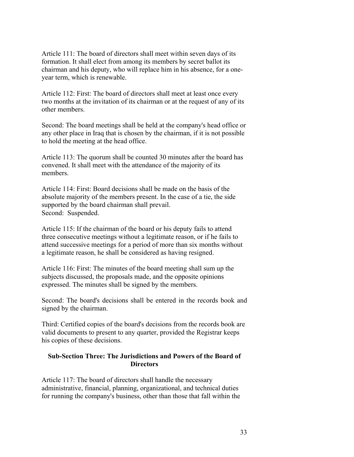Article 111: The board of directors shall meet within seven days of its formation. It shall elect from among its members by secret ballot its chairman and his deputy, who will replace him in his absence, for a oneyear term, which is renewable.

Article 112: First: The board of directors shall meet at least once every two months at the invitation of its chairman or at the request of any of its other members.

Second: The board meetings shall be held at the company's head office or any other place in Iraq that is chosen by the chairman, if it is not possible to hold the meeting at the head office.

Article 113: The quorum shall be counted 30 minutes after the board has convened. It shall meet with the attendance of the majority of its members.

Article 114: First: Board decisions shall be made on the basis of the absolute majority of the members present. In the case of a tie, the side supported by the board chairman shall prevail. Second: Suspended.

Article 115: If the chairman of the board or his deputy fails to attend three consecutive meetings without a legitimate reason, or if he fails to attend successive meetings for a period of more than six months without a legitimate reason, he shall be considered as having resigned.

Article 116: First: The minutes of the board meeting shall sum up the subjects discussed, the proposals made, and the opposite opinions expressed. The minutes shall be signed by the members.

Second: The board's decisions shall be entered in the records book and signed by the chairman.

Third: Certified copies of the board's decisions from the records book are valid documents to present to any quarter, provided the Registrar keeps his copies of these decisions.

# **Sub-Section Three: The Jurisdictions and Powers of the Board of Directors**

Article 117: The board of directors shall handle the necessary administrative, financial, planning, organizational, and technical duties for running the company's business, other than those that fall within the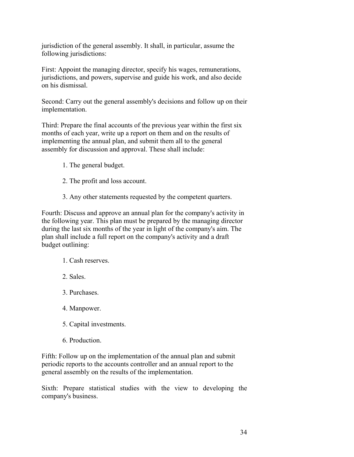jurisdiction of the general assembly. It shall, in particular, assume the following jurisdictions:

First: Appoint the managing director, specify his wages, remunerations, jurisdictions, and powers, supervise and guide his work, and also decide on his dismissal.

Second: Carry out the general assembly's decisions and follow up on their implementation.

Third: Prepare the final accounts of the previous year within the first six months of each year, write up a report on them and on the results of implementing the annual plan, and submit them all to the general assembly for discussion and approval. These shall include:

- 1. The general budget.
- 2. The profit and loss account.
- 3. Any other statements requested by the competent quarters.

Fourth: Discuss and approve an annual plan for the company's activity in the following year. This plan must be prepared by the managing director during the last six months of the year in light of the company's aim. The plan shall include a full report on the company's activity and a draft budget outlining:

- 1. Cash reserves.
- 2. Sales.
- 3. Purchases.
- 4. Manpower.
- 5. Capital investments.
- 6. Production.

Fifth: Follow up on the implementation of the annual plan and submit periodic reports to the accounts controller and an annual report to the general assembly on the results of the implementation.

Sixth: Prepare statistical studies with the view to developing the company's business.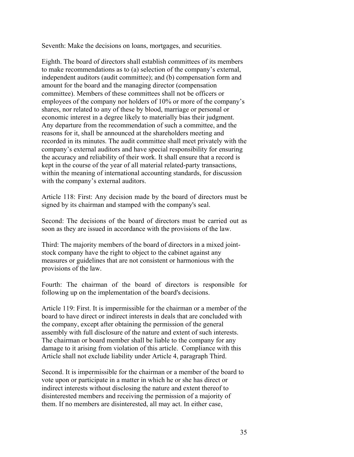Seventh: Make the decisions on loans, mortgages, and securities.

Eighth. The board of directors shall establish committees of its members to make recommendations as to (a) selection of the company's external, independent auditors (audit committee); and (b) compensation form and amount for the board and the managing director (compensation committee). Members of these committees shall not be officers or employees of the company nor holders of 10% or more of the company's shares, nor related to any of these by blood, marriage or personal or economic interest in a degree likely to materially bias their judgment. Any departure from the recommendation of such a committee, and the reasons for it, shall be announced at the shareholders meeting and recorded in its minutes. The audit committee shall meet privately with the company's external auditors and have special responsibility for ensuring the accuracy and reliability of their work. It shall ensure that a record is kept in the course of the year of all material related-party transactions, within the meaning of international accounting standards, for discussion with the company's external auditors.

Article 118: First: Any decision made by the board of directors must be signed by its chairman and stamped with the company's seal.

Second: The decisions of the board of directors must be carried out as soon as they are issued in accordance with the provisions of the law.

Third: The majority members of the board of directors in a mixed jointstock company have the right to object to the cabinet against any measures or guidelines that are not consistent or harmonious with the provisions of the law.

Fourth: The chairman of the board of directors is responsible for following up on the implementation of the board's decisions.

Article 119: First. It is impermissible for the chairman or a member of the board to have direct or indirect interests in deals that are concluded with the company, except after obtaining the permission of the general assembly with full disclosure of the nature and extent of such interests. The chairman or board member shall be liable to the company for any damage to it arising from violation of this article. Compliance with this Article shall not exclude liability under Article 4, paragraph Third.

Second. It is impermissible for the chairman or a member of the board to vote upon or participate in a matter in which he or she has direct or indirect interests without disclosing the nature and extent thereof to disinterested members and receiving the permission of a majority of them. If no members are disinterested, all may act. In either case,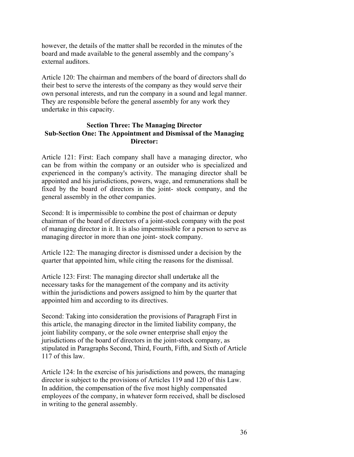however, the details of the matter shall be recorded in the minutes of the board and made available to the general assembly and the company's external auditors.

Article 120: The chairman and members of the board of directors shall do their best to serve the interests of the company as they would serve their own personal interests, and run the company in a sound and legal manner. They are responsible before the general assembly for any work they undertake in this capacity.

# **Section Three: The Managing Director Sub-Section One: The Appointment and Dismissal of the Managing Director:**

Article 121: First: Each company shall have a managing director, who can be from within the company or an outsider who is specialized and experienced in the company's activity. The managing director shall be appointed and his jurisdictions, powers, wage, and remunerations shall be fixed by the board of directors in the joint- stock company, and the general assembly in the other companies.

Second: It is impermissible to combine the post of chairman or deputy chairman of the board of directors of a joint-stock company with the post of managing director in it. It is also impermissible for a person to serve as managing director in more than one joint- stock company.

Article 122: The managing director is dismissed under a decision by the quarter that appointed him, while citing the reasons for the dismissal.

Article 123: First: The managing director shall undertake all the necessary tasks for the management of the company and its activity within the jurisdictions and powers assigned to him by the quarter that appointed him and according to its directives.

Second: Taking into consideration the provisions of Paragraph First in this article, the managing director in the limited liability company, the joint liability company, or the sole owner enterprise shall enjoy the jurisdictions of the board of directors in the joint-stock company, as stipulated in Paragraphs Second, Third, Fourth, Fifth, and Sixth of Article 117 of this law.

Article 124: In the exercise of his jurisdictions and powers, the managing director is subject to the provisions of Articles 119 and 120 of this Law. In addition, the compensation of the five most highly compensated employees of the company, in whatever form received, shall be disclosed in writing to the general assembly.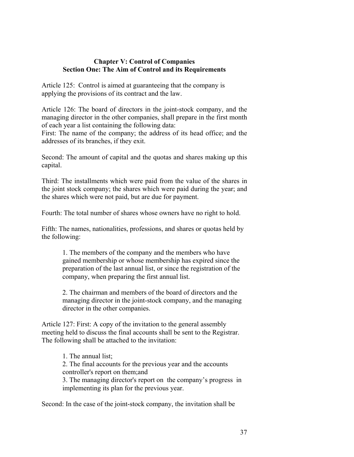#### **Chapter V: Control of Companies Section One: The Aim of Control and its Requirements**

Article 125: Control is aimed at guaranteeing that the company is applying the provisions of its contract and the law.

Article 126: The board of directors in the joint-stock company, and the managing director in the other companies, shall prepare in the first month of each year a list containing the following data:

First: The name of the company; the address of its head office; and the addresses of its branches, if they exit.

Second: The amount of capital and the quotas and shares making up this capital.

Third: The installments which were paid from the value of the shares in the joint stock company; the shares which were paid during the year; and the shares which were not paid, but are due for payment.

Fourth: The total number of shares whose owners have no right to hold.

Fifth: The names, nationalities, professions, and shares or quotas held by the following:

> 1. The members of the company and the members who have gained membership or whose membership has expired since the preparation of the last annual list, or since the registration of the company, when preparing the first annual list.

> 2. The chairman and members of the board of directors and the managing director in the joint-stock company, and the managing director in the other companies.

Article 127: First: A copy of the invitation to the general assembly meeting held to discuss the final accounts shall be sent to the Registrar. The following shall be attached to the invitation:

> 1. The annual list; 2. The final accounts for the previous year and the accounts controller's report on them;and 3. The managing director's report on the company's progress in implementing its plan for the previous year.

Second: In the case of the joint-stock company, the invitation shall be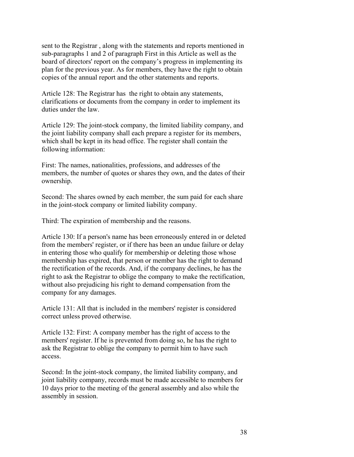sent to the Registrar , along with the statements and reports mentioned in sub-paragraphs 1 and 2 of paragraph First in this Article as well as the board of directors' report on the company's progress in implementing its plan for the previous year. As for members, they have the right to obtain copies of the annual report and the other statements and reports.

Article 128: The Registrar has the right to obtain any statements, clarifications or documents from the company in order to implement its duties under the law.

Article 129: The joint-stock company, the limited liability company, and the joint liability company shall each prepare a register for its members, which shall be kept in its head office. The register shall contain the following information:

First: The names, nationalities, professions, and addresses of the members, the number of quotes or shares they own, and the dates of their ownership.

Second: The shares owned by each member, the sum paid for each share in the joint-stock company or limited liability company.

Third: The expiration of membership and the reasons.

Article 130: If a person's name has been erroneously entered in or deleted from the members' register, or if there has been an undue failure or delay in entering those who qualify for membership or deleting those whose membership has expired, that person or member has the right to demand the rectification of the records. And, if the company declines, he has the right to ask the Registrar to oblige the company to make the rectification, without also prejudicing his right to demand compensation from the company for any damages.

Article 131: All that is included in the members' register is considered correct unless proved otherwise.

Article 132: First: A company member has the right of access to the members' register. If he is prevented from doing so, he has the right to ask the Registrar to oblige the company to permit him to have such access.

Second: In the joint-stock company, the limited liability company, and joint liability company, records must be made accessible to members for 10 days prior to the meeting of the general assembly and also while the assembly in session.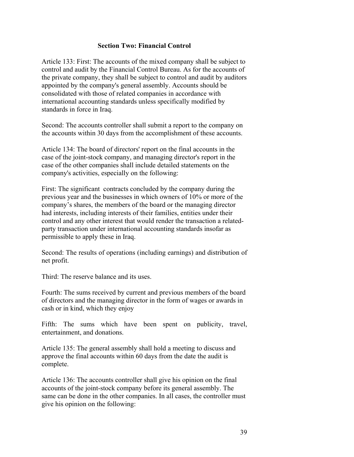### **Section Two: Financial Control**

Article 133: First: The accounts of the mixed company shall be subject to control and audit by the Financial Control Bureau. As for the accounts of the private company, they shall be subject to control and audit by auditors appointed by the company's general assembly. Accounts should be consolidated with those of related companies in accordance with international accounting standards unless specifically modified by standards in force in Iraq.

Second: The accounts controller shall submit a report to the company on the accounts within 30 days from the accomplishment of these accounts.

Article 134: The board of directors' report on the final accounts in the case of the joint-stock company, and managing director's report in the case of the other companies shall include detailed statements on the company's activities, especially on the following:

First: The significant contracts concluded by the company during the previous year and the businesses in which owners of 10% or more of the company's shares, the members of the board or the managing director had interests, including interests of their families, entities under their control and any other interest that would render the transaction a relatedparty transaction under international accounting standards insofar as permissible to apply these in Iraq.

Second: The results of operations (including earnings) and distribution of net profit.

Third: The reserve balance and its uses.

Fourth: The sums received by current and previous members of the board of directors and the managing director in the form of wages or awards in cash or in kind, which they enjoy

Fifth: The sums which have been spent on publicity, travel, entertainment, and donations.

Article 135: The general assembly shall hold a meeting to discuss and approve the final accounts within 60 days from the date the audit is complete.

Article 136: The accounts controller shall give his opinion on the final accounts of the joint-stock company before its general assembly. The same can be done in the other companies. In all cases, the controller must give his opinion on the following: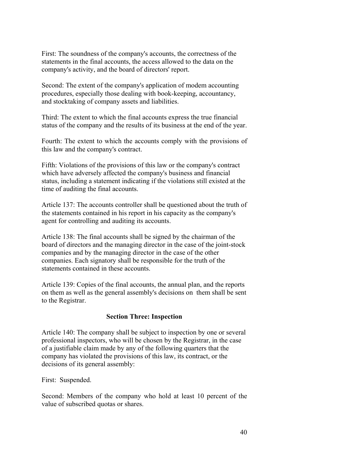First: The soundness of the company's accounts, the correctness of the statements in the final accounts, the access allowed to the data on the company's activity, and the board of directors' report.

Second: The extent of the company's application of modem accounting procedures, especially those dealing with book-keeping, accountancy, and stocktaking of company assets and liabilities.

Third: The extent to which the final accounts express the true financial status of the company and the results of its business at the end of the year.

Fourth: The extent to which the accounts comply with the provisions of this law and the company's contract.

Fifth: Violations of the provisions of this law or the company's contract which have adversely affected the company's business and financial status, including a statement indicating if the violations still existed at the time of auditing the final accounts.

Article 137: The accounts controller shall be questioned about the truth of the statements contained in his report in his capacity as the company's agent for controlling and auditing its accounts.

Article 138: The final accounts shall be signed by the chairman of the board of directors and the managing director in the case of the joint-stock companies and by the managing director in the case of the other companies. Each signatory shall be responsible for the truth of the statements contained in these accounts.

Article 139: Copies of the final accounts, the annual plan, and the reports on them as well as the general assembly's decisions on them shall be sent to the Registrar.

# **Section Three: Inspection**

Article 140: The company shall be subject to inspection by one or several professional inspectors, who will be chosen by the Registrar, in the case of a justifiable claim made by any of the following quarters that the company has violated the provisions of this law, its contract, or the decisions of its general assembly:

First: Suspended.

Second: Members of the company who hold at least 10 percent of the value of subscribed quotas or shares.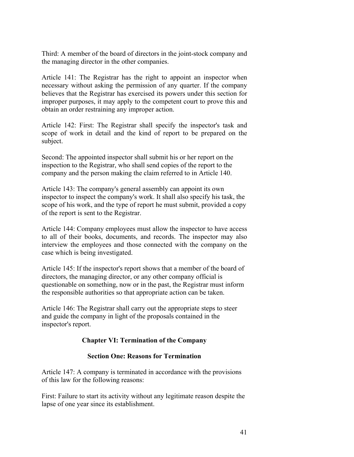Third: A member of the board of directors in the joint-stock company and the managing director in the other companies.

Article 141: The Registrar has the right to appoint an inspector when necessary without asking the permission of any quarter. If the company believes that the Registrar has exercised its powers under this section for improper purposes, it may apply to the competent court to prove this and obtain an order restraining any improper action.

Article 142: First: The Registrar shall specify the inspector's task and scope of work in detail and the kind of report to be prepared on the subject.

Second: The appointed inspector shall submit his or her report on the inspection to the Registrar, who shall send copies of the report to the company and the person making the claim referred to in Article 140.

Article 143: The company's general assembly can appoint its own inspector to inspect the company's work. It shall also specify his task, the scope of his work, and the type of report he must submit, provided a copy of the report is sent to the Registrar.

Article 144: Company employees must allow the inspector to have access to all of their books, documents, and records. The inspector may also interview the employees and those connected with the company on the case which is being investigated.

Article 145: If the inspector's report shows that a member of the board of directors, the managing director, or any other company official is questionable on something, now or in the past, the Registrar must inform the responsible authorities so that appropriate action can be taken.

Article 146: The Registrar shall carry out the appropriate steps to steer and guide the company in light of the proposals contained in the inspector's report.

# **Chapter VI: Termination of the Company**

# **Section One: Reasons for Termination**

Article 147: A company is terminated in accordance with the provisions of this law for the following reasons:

First: Failure to start its activity without any legitimate reason despite the lapse of one year since its establishment.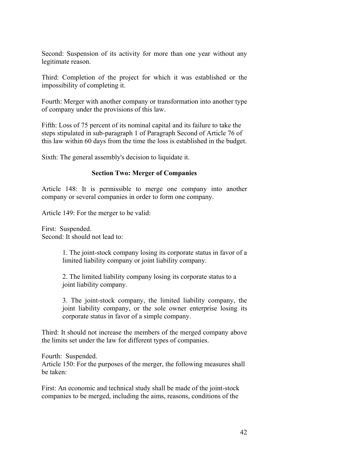Second: Suspension of its activity for more than one year without any legitimate reason.

Third: Completion of the project for which it was established or the impossibility of completing it.

Fourth: Merger with another company or transformation into another type of company under the provisions of this law.

Fifth: Loss of 75 percent of its nominal capital and its failure to take the steps stipulated in sub-paragraph 1 of Paragraph Second of Article 76 of this law within 60 days from the time the loss is established in the budget.

Sixth: The general assembly's decision to liquidate it.

### **Section Two: Merger of Companies**

Article 148: It is permissible to merge one company into another company or several companies in order to form one company.

Article 149: For the merger to be valid:

First: Suspended. Second: It should not lead to:

> 1. The joint-stock company losing its corporate status in favor of a limited liability company or joint liability company.

2. The limited liability company losing its corporate status to a joint liability company.

3. The joint-stock company, the limited liability company, the joint liability company, or the sole owner enterprise losing its corporate status in favor of a simple company.

Third: It should not increase the members of the merged company above the limits set under the law for different types of companies.

Fourth: Suspended.

Article 150: For the purposes of the merger, the following measures shall be taken:

First: An economic and technical study shall be made of the joint-stock companies to be merged, including the aims, reasons, conditions of the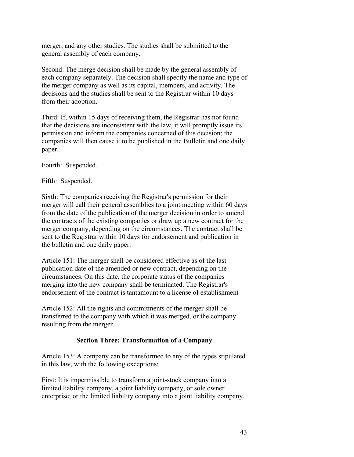merger, and any other studies. The studies shall be submitted to the general assembly of each company.

Second: The merge decision shall be made by the general assembly of each company separately. The decision shall specify the name and type of the merger company as well as its capital, members, and activity. The decisions and the studies shall be sent to the Registrar within 10 days from their adoption.

Third: If, within 15 days of receiving them, the Registrar has not found that the decisions are inconsistent with the law, it will promptly issue its permission and inform the companies concerned of this decision; the companies will then cause it to be published in the Bulletin and one daily paper.

Fourth: Suspended.

Fifth: Suspended.

Sixth: The companies receiving the Registrar's permission for their merger will call their general assemblies to a joint meeting within 60 days from the date of the publication of the merger decision in order to amend the contracts of the existing companies or draw up a new contract for the merger company, depending on the circumstances. The contract shall be sent to the Registrar within 10 days for endorsement and publication in the bulletin and one daily paper.

Article 151: The merger shall be considered effective as of the last publication date of the amended or new contract, depending on the circumstances. On this date, the corporate status of the companies merging into the new company shall be terminated. The Registrar's endorsement of the contract is tantamount to a license of establishment

Article 152: All the rights and commitments of the merger shall be transferred to the company with which it was merged, or the company resulting from the merger.

# **Section Three: Transformation of a Company**

Article 153: A company can be transformed to any of the types stipulated in this law, with the following exceptions:

First: It is impermissible to transform a joint-stock company into a limited liability company, a joint liability company, or sole owner enterprise; or the limited liability company into a joint liability company.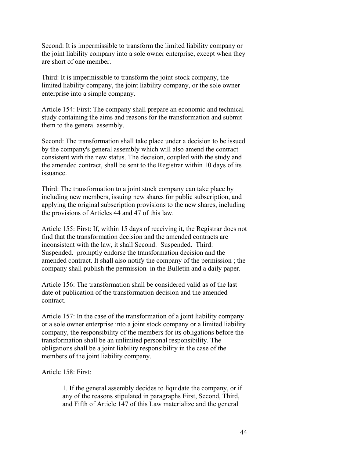Second: It is impermissible to transform the limited liability company or the joint liability company into a sole owner enterprise, except when they are short of one member.

Third: It is impermissible to transform the joint-stock company, the limited liability company, the joint liability company, or the sole owner enterprise into a simple company.

Article 154: First: The company shall prepare an economic and technical study containing the aims and reasons for the transformation and submit them to the general assembly.

Second: The transformation shall take place under a decision to be issued by the company's general assembly which will also amend the contract consistent with the new status. The decision, coupled with the study and the amended contract, shall be sent to the Registrar within 10 days of its issuance.

Third: The transformation to a joint stock company can take place by including new members, issuing new shares for public subscription, and applying the original subscription provisions to the new shares, including the provisions of Articles 44 and 47 of this law.

Article 155: First: If, within 15 days of receiving it, the Registrar does not find that the transformation decision and the amended contracts are inconsistent with the law, it shall Second: Suspended. Third: Suspended. promptly endorse the transformation decision and the amended contract. It shall also notify the company of the permission ; the company shall publish the permission in the Bulletin and a daily paper.

Article 156: The transformation shall be considered valid as of the last date of publication of the transformation decision and the amended contract.

Article 157: In the case of the transformation of a joint liability company or a sole owner enterprise into a joint stock company or a limited liability company, the responsibility of the members for its obligations before the transformation shall be an unlimited personal responsibility. The obligations shall be a joint liability responsibility in the case of the members of the joint liability company.

Article 158: First:

1. If the general assembly decides to liquidate the company, or if any of the reasons stipulated in paragraphs First, Second, Third, and Fifth of Article 147 of this Law materialize and the general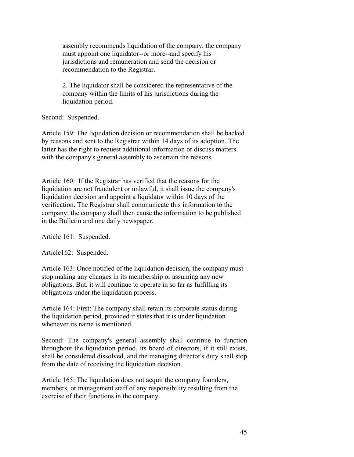assembly recommends liquidation of the company, the company must appoint one liquidator--or more--and specify his jurisdictions and remuneration and send the decision or recommendation to the Registrar.

2. The liquidator shall be considered the representative of the company within the limits of his jurisdictions during the liquidation period.

Second: Suspended.

Article 159: The liquidation decision or recommendation shall be backed by reasons and sent to the Registrar within 14 days of its adoption. The latter has the right to request additional information or discuss matters with the company's general assembly to ascertain the reasons.

Article 160: If the Registrar has verified that the reasons for the liquidation are not fraudulent or unlawful, it shall issue the company's liquidation decision and appoint a liquidator within 10 days of the verification. The Registrar shall communicate this information to the company; the company shall then cause the information to be published in the Bulletin and one daily newspaper.

Article 161: Suspended.

Article162: Suspended.

Article 163: Once notified of the liquidation decision, the company must stop making any changes in its membership or assuming any new obligations. But, it will continue to operate in so far as fulfilling its obligations under the liquidation process.

Article 164: First: The company shall retain its corporate status during the liquidation period, provided it states that it is under liquidation whenever its name is mentioned.

Second: The company's general assembly shall continue to function throughout the liquidation period, its board of directors, if it still exists, shall be considered dissolved, and the managing director's duty shall stop from the date of receiving the liquidation decision.

Article 165: The liquidation does not acquit the company founders, members, or management staff of any responsibility resulting from the exercise of their functions in the company.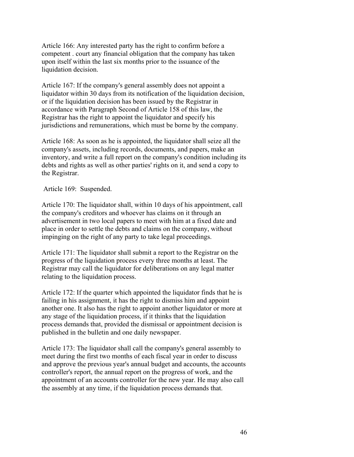Article 166: Any interested party has the right to confirm before a competent . court any financial obligation that the company has taken upon itself within the last six months prior to the issuance of the liquidation decision.

Article 167: If the company's general assembly does not appoint a liquidator within 30 days from its notification of the liquidation decision, or if the liquidation decision has been issued by the Registrar in accordance with Paragraph Second of Article 158 of this law, the Registrar has the right to appoint the liquidator and specify his jurisdictions and remunerations, which must be borne by the company.

Article 168: As soon as he is appointed, the liquidator shall seize all the company's assets, including records, documents, and papers, make an inventory, and write a full report on the company's condition including its debts and rights as well as other parties' rights on it, and send a copy to the Registrar.

Article 169: Suspended.

Article 170: The liquidator shall, within 10 days of his appointment, call the company's creditors and whoever has claims on it through an advertisement in two local papers to meet with him at a fixed date and place in order to settle the debts and claims on the company, without impinging on the right of any party to take legal proceedings.

Article 171: The liquidator shall submit a report to the Registrar on the progress of the liquidation process every three months at least. The Registrar may call the liquidator for deliberations on any legal matter relating to the liquidation process.

Article 172: If the quarter which appointed the liquidator finds that he is failing in his assignment, it has the right to dismiss him and appoint another one. It also has the right to appoint another liquidator or more at any stage of the liquidation process, if it thinks that the liquidation process demands that, provided the dismissal or appointment decision is published in the bulletin and one daily newspaper.

Article 173: The liquidator shall call the company's general assembly to meet during the first two months of each fiscal year in order to discuss and approve the previous year's annual budget and accounts, the accounts controller's report, the annual report on the progress of work, and the appointment of an accounts controller for the new year. He may also call the assembly at any time, if the liquidation process demands that.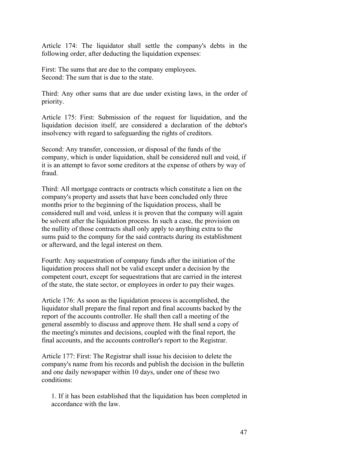Article 174: The liquidator shall settle the company's debts in the following order, after deducting the liquidation expenses:

First: The sums that are due to the company employees. Second: The sum that is due to the state.

Third: Any other sums that are due under existing laws, in the order of priority.

Article 175: First: Submission of the request for liquidation, and the liquidation decision itself, are considered a declaration of the debtor's insolvency with regard to safeguarding the rights of creditors.

Second: Any transfer, concession, or disposal of the funds of the company, which is under liquidation, shall be considered null and void, if it is an attempt to favor some creditors at the expense of others by way of fraud.

Third: All mortgage contracts or contracts which constitute a lien on the company's property and assets that have been concluded only three months prior to the beginning of the liquidation process, shall be considered null and void, unless it is proven that the company will again be solvent after the liquidation process. In such a case, the provision on the nullity of those contracts shall only apply to anything extra to the sums paid to the company for the said contracts during its establishment or afterward, and the legal interest on them.

Fourth: Any sequestration of company funds after the initiation of the liquidation process shall not be valid except under a decision by the competent court, except for sequestrations that are carried in the interest of the state, the state sector, or employees in order to pay their wages.

Article 176: As soon as the liquidation process is accomplished, the liquidator shall prepare the final report and final accounts backed by the report of the accounts controller. He shall then call a meeting of the general assembly to discuss and approve them. He shall send a copy of the meeting's minutes and decisions, coupled with the final report, the final accounts, and the accounts controller's report to the Registrar.

Article 177: First: The Registrar shall issue his decision to delete the company's name from his records and publish the decision in the bulletin and one daily newspaper within 10 days, under one of these two conditions:

1. If it has been established that the liquidation has been completed in accordance with the law.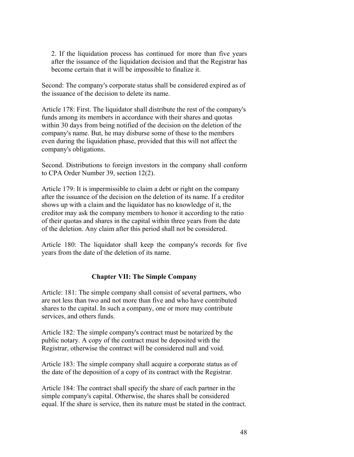2. If the liquidation process has continued for more than five years after the issuance of the liquidation decision and that the Registrar has become certain that it will be impossible to finalize it.

Second: The company's corporate status shall be considered expired as of the issuance of the decision to delete its name.

Article 178: First. The liquidator shall distribute the rest of the company's funds among its members in accordance with their shares and quotas within 30 days from being notified of the decision on the deletion of the company's name. But, he may disburse some of these to the members even during the liquidation phase, provided that this will not affect the company's obligations.

Second. Distributions to foreign investors in the company shall conform to CPA Order Number 39, section 12(2).

Article 179: It is impermissible to claim a debt or right on the company after the issuance of the decision on the deletion of its name. If a creditor shows up with a claim and the liquidator has no knowledge of it, the creditor may ask the company members to honor it according to the ratio of their quotas and shares in the capital within three years from the date of the deletion. Any claim after this period shall not be considered.

Article 180: The liquidator shall keep the company's records for five years from the date of the deletion of its name.

# **Chapter VII: The Simple Company**

Article: 181: The simple company shall consist of several partners, who are not less than two and not more than five and who have contributed shares to the capital. In such a company, one or more may contribute services, and others funds.

Article 182: The simple company's contract must be notarized by the public notary. A copy of the contract must be deposited with the Registrar, otherwise the contract will be considered null and void.

Article 183: The simple company shall acquire a corporate status as of the date of the deposition of a copy of its contract with the Registrar.

Article 184: The contract shall specify the share of each partner in the simple company's capital. Otherwise, the shares shall be considered equal. If the share is service, then its nature must be stated in the contract.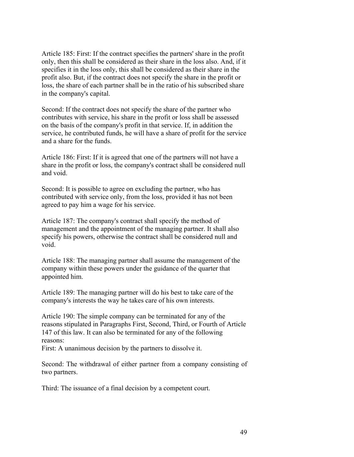Article 185: First: If the contract specifies the partners' share in the profit only, then this shall be considered as their share in the loss also. And, if it specifies it in the loss only, this shall be considered as their share in the profit also. But, if the contract does not specify the share in the profit or loss, the share of each partner shall be in the ratio of his subscribed share in the company's capital.

Second: If the contract does not specify the share of the partner who contributes with service, his share in the profit or loss shall be assessed on the basis of the company's profit in that service. If, in addition the service, he contributed funds, he will have a share of profit for the service and a share for the funds.

Article 186: First: If it is agreed that one of the partners will not have a share in the profit or loss, the company's contract shall be considered null and void.

Second: It is possible to agree on excluding the partner, who has contributed with service only, from the loss, provided it has not been agreed to pay him a wage for his service.

Article 187: The company's contract shall specify the method of management and the appointment of the managing partner. It shall also specify his powers, otherwise the contract shall be considered null and void.

Article 188: The managing partner shall assume the management of the company within these powers under the guidance of the quarter that appointed him.

Article 189: The managing partner will do his best to take care of the company's interests the way he takes care of his own interests.

Article 190: The simple company can be terminated for any of the reasons stipulated in Paragraphs First, Second, Third, or Fourth of Article 147 of this law. It can also be terminated for any of the following reasons:

First: A unanimous decision by the partners to dissolve it.

Second: The withdrawal of either partner from a company consisting of two partners.

Third: The issuance of a final decision by a competent court.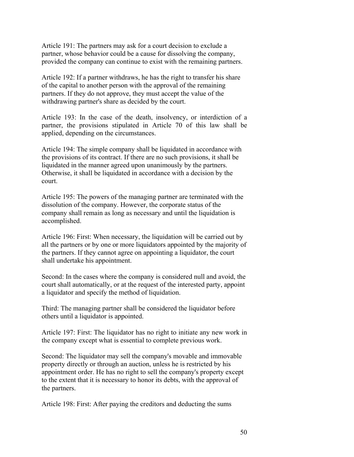Article 191: The partners may ask for a court decision to exclude a partner, whose behavior could be a cause for dissolving the company, provided the company can continue to exist with the remaining partners.

Article 192: If a partner withdraws, he has the right to transfer his share of the capital to another person with the approval of the remaining partners. If they do not approve, they must accept the value of the withdrawing partner's share as decided by the court.

Article 193: In the case of the death, insolvency, or interdiction of a partner, the provisions stipulated in Article 70 of this law shall be applied, depending on the circumstances.

Article 194: The simple company shall be liquidated in accordance with the provisions of its contract. If there are no such provisions, it shall be liquidated in the manner agreed upon unanimously by the partners. Otherwise, it shall be liquidated in accordance with a decision by the court.

Article 195: The powers of the managing partner are terminated with the dissolution of the company. However, the corporate status of the company shall remain as long as necessary and until the liquidation is accomplished.

Article 196: First: When necessary, the liquidation will be carried out by all the partners or by one or more liquidators appointed by the majority of the partners. If they cannot agree on appointing a liquidator, the court shall undertake his appointment.

Second: In the cases where the company is considered null and avoid, the court shall automatically, or at the request of the interested party, appoint a liquidator and specify the method of liquidation.

Third: The managing partner shall be considered the liquidator before others until a liquidator is appointed.

Article 197: First: The liquidator has no right to initiate any new work in the company except what is essential to complete previous work.

Second: The liquidator may sell the company's movable and immovable property directly or through an auction, unless he is restricted by his appointment order. He has no right to sell the company's property except to the extent that it is necessary to honor its debts, with the approval of the partners.

Article 198: First: After paying the creditors and deducting the sums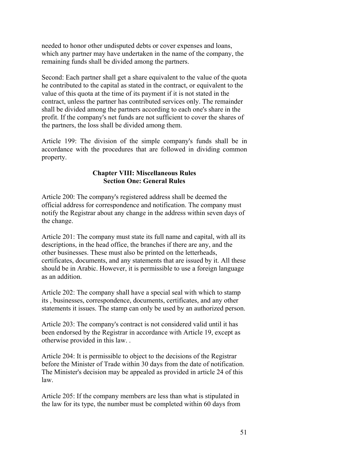needed to honor other undisputed debts or cover expenses and loans, which any partner may have undertaken in the name of the company, the remaining funds shall be divided among the partners.

Second: Each partner shall get a share equivalent to the value of the quota he contributed to the capital as stated in the contract, or equivalent to the value of this quota at the time of its payment if it is not stated in the contract, unless the partner has contributed services only. The remainder shall be divided among the partners according to each one's share in the profit. If the company's net funds are not sufficient to cover the shares of the partners, the loss shall be divided among them.

Article 199: The division of the simple company's funds shall be in accordance with the procedures that are followed in dividing common property.

# **Chapter VIII: Miscellaneous Rules Section One: General Rules**

Article 200: The company's registered address shall be deemed the official address for correspondence and notification. The company must notify the Registrar about any change in the address within seven days of the change.

Article 201: The company must state its full name and capital, with all its descriptions, in the head office, the branches if there are any, and the other businesses. These must also be printed on the letterheads, certificates, documents, and any statements that are issued by it. All these should be in Arabic. However, it is permissible to use a foreign language as an addition.

Article 202: The company shall have a special seal with which to stamp its , businesses, correspondence, documents, certificates, and any other statements it issues. The stamp can only be used by an authorized person.

Article 203: The company's contract is not considered valid until it has been endorsed by the Registrar in accordance with Article 19, except as otherwise provided in this law. .

Article 204: It is permissible to object to the decisions of the Registrar before the Minister of Trade within 30 days from the date of notification. The Minister's decision may be appealed as provided in article 24 of this law.

Article 205: If the company members are less than what is stipulated in the law for its type, the number must be completed within 60 days from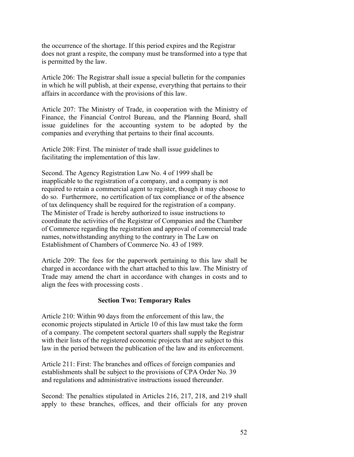the occurrence of the shortage. If this period expires and the Registrar does not grant a respite, the company must be transformed into a type that is permitted by the law.

Article 206: The Registrar shall issue a special bulletin for the companies in which he will publish, at their expense, everything that pertains to their affairs in accordance with the provisions of this law.

Article 207: The Ministry of Trade, in cooperation with the Ministry of Finance, the Financial Control Bureau, and the Planning Board, shall issue guidelines for the accounting system to be adopted by the companies and everything that pertains to their final accounts.

Article 208: First. The minister of trade shall issue guidelines to facilitating the implementation of this law.

Second. The Agency Registration Law No. 4 of 1999 shall be inapplicable to the registration of a company, and a company is not required to retain a commercial agent to register, though it may choose to do so. Furthermore, no certification of tax compliance or of the absence of tax delinquency shall be required for the registration of a company. The Minister of Trade is hereby authorized to issue instructions to coordinate the activities of the Registrar of Companies and the Chamber of Commerce regarding the registration and approval of commercial trade names, notwithstanding anything to the contrary in The Law on Establishment of Chambers of Commerce No. 43 of 1989.

Article 209: The fees for the paperwork pertaining to this law shall be charged in accordance with the chart attached to this law. The Ministry of Trade may amend the chart in accordance with changes in costs and to align the fees with processing costs .

# **Section Two: Temporary Rules**

Article 210: Within 90 days from the enforcement of this law, the economic projects stipulated in Article 10 of this law must take the form of a company. The competent sectoral quarters shall supply the Registrar with their lists of the registered economic projects that are subject to this law in the period between the publication of the law and its enforcement.

Article 211: First: The branches and offices of foreign companies and establishments shall be subject to the provisions of CPA Order No. 39 and regulations and administrative instructions issued thereunder.

Second: The penalties stipulated in Articles 216, 217, 218, and 219 shall apply to these branches, offices, and their officials for any proven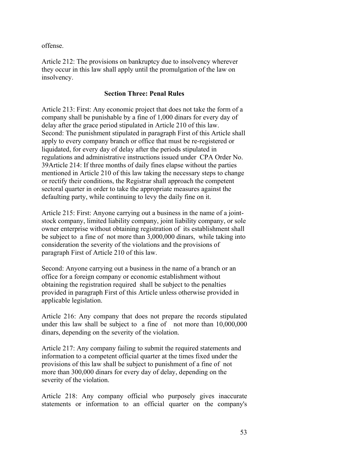offense.

Article 212: The provisions on bankruptcy due to insolvency wherever they occur in this law shall apply until the promulgation of the law on insolvency.

### **Section Three: Penal Rules**

Article 213: First: Any economic project that does not take the form of a company shall be punishable by a fine of 1,000 dinars for every day of delay after the grace period stipulated in Article 210 of this law. Second: The punishment stipulated in paragraph First of this Article shall apply to every company branch or office that must be re-registered or liquidated, for every day of delay after the periods stipulated in regulations and administrative instructions issued under CPA Order No. 39Article 214: If three months of daily fines elapse without the parties mentioned in Article 210 of this law taking the necessary steps to change or rectify their conditions, the Registrar shall approach the competent sectoral quarter in order to take the appropriate measures against the defaulting party, while continuing to levy the daily fine on it.

Article 215: First: Anyone carrying out a business in the name of a jointstock company, limited liability company, joint liability company, or sole owner enterprise without obtaining registration of its establishment shall be subject to a fine of not more than 3,000,000 dinars, while taking into consideration the severity of the violations and the provisions of paragraph First of Article 210 of this law.

Second: Anyone carrying out a business in the name of a branch or an office for a foreign company or economic establishment without obtaining the registration required shall be subject to the penalties provided in paragraph First of this Article unless otherwise provided in applicable legislation.

Article 216: Any company that does not prepare the records stipulated under this law shall be subject to a fine of not more than  $10,000,000$ dinars, depending on the severity of the violation.

Article 217: Any company failing to submit the required statements and information to a competent official quarter at the times fixed under the provisions of this law shall be subject to punishment of a fine of not more than 300,000 dinars for every day of delay, depending on the severity of the violation.

Article 218: Any company official who purposely gives inaccurate statements or information to an official quarter on the company's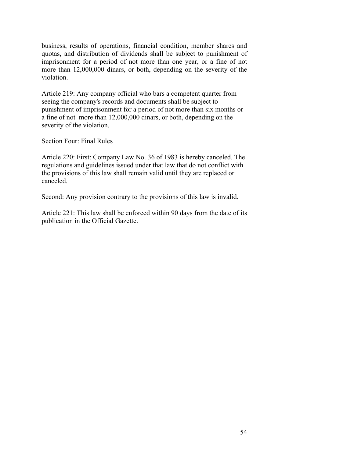business, results of operations, financial condition, member shares and quotas, and distribution of dividends shall be subject to punishment of imprisonment for a period of not more than one year, or a fine of not more than 12,000,000 dinars, or both, depending on the severity of the violation.

Article 219: Any company official who bars a competent quarter from seeing the company's records and documents shall be subject to punishment of imprisonment for a period of not more than six months or a fine of not more than 12,000,000 dinars, or both, depending on the severity of the violation.

Section Four: Final Rules

Article 220: First: Company Law No. 36 of 1983 is hereby canceled. The regulations and guidelines issued under that law that do not conflict with the provisions of this law shall remain valid until they are replaced or canceled.

Second: Any provision contrary to the provisions of this law is invalid.

Article 221: This law shall be enforced within 90 days from the date of its publication in the Official Gazette.